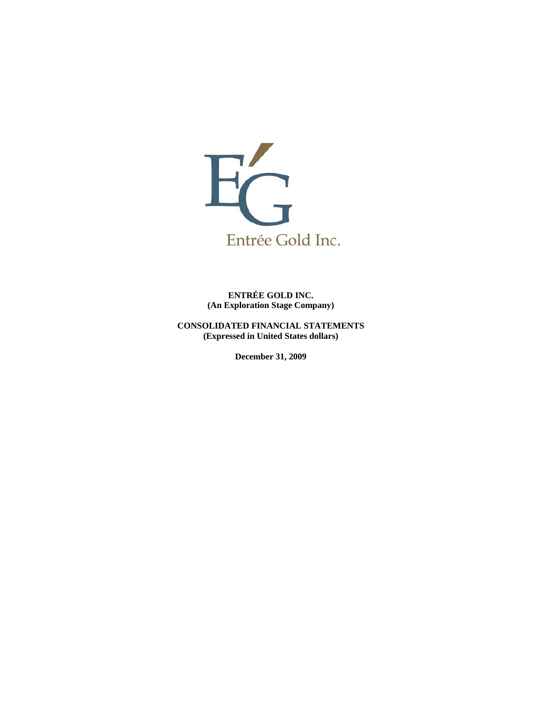

**ENTRÉE GOLD INC. (An Exploration Stage Company)** 

**CONSOLIDATED FINANCIAL STATEMENTS (Expressed in United States dollars)** 

**December 31, 2009**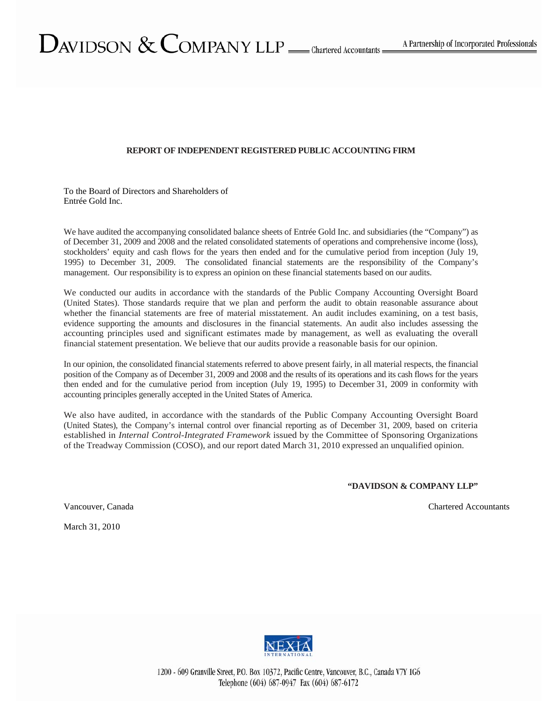# DAVIDSON  $\&$  COMPANY LLP <u>—</u> Chartered Accountants =

#### **REPORT OF INDEPENDENT REGISTERED PUBLIC ACCOUNTING FIRM**

To the Board of Directors and Shareholders of Entrée Gold Inc.

We have audited the accompanying consolidated balance sheets of Entrée Gold Inc. and subsidiaries (the "Company") as of December 31, 2009 and 2008 and the related consolidated statements of operations and comprehensive income (loss), stockholders' equity and cash flows for the years then ended and for the cumulative period from inception (July 19, 1995) to December 31, 2009. The consolidated financial statements are the responsibility of the Company's management. Our responsibility is to express an opinion on these financial statements based on our audits.

We conducted our audits in accordance with the standards of the Public Company Accounting Oversight Board (United States). Those standards require that we plan and perform the audit to obtain reasonable assurance about whether the financial statements are free of material misstatement. An audit includes examining, on a test basis, evidence supporting the amounts and disclosures in the financial statements. An audit also includes assessing the accounting principles used and significant estimates made by management, as well as evaluating the overall financial statement presentation. We believe that our audits provide a reasonable basis for our opinion.

In our opinion, the consolidated financial statements referred to above present fairly, in all material respects, the financial position of the Company as of December 31, 2009 and 2008 and the results of its operations and its cash flows for the years then ended and for the cumulative period from inception (July 19, 1995) to December 31, 2009 in conformity with accounting principles generally accepted in the United States of America.

We also have audited, in accordance with the standards of the Public Company Accounting Oversight Board (United States), the Company's internal control over financial reporting as of December 31, 2009, based on criteria established in *Internal Control-Integrated Framework* issued by the Committee of Sponsoring Organizations of the Treadway Commission (COSO), and our report dated March 31, 2010 expressed an unqualified opinion.

**"DAVIDSON & COMPANY LLP"** 

Vancouver, Canada Chartered Accountants Chartered Accountants

March 31, 2010



1200 - 609 Granville Street, P.O. Box 10372, Pacific Centre, Vancouver, B.C., Canada V7Y 1G6 Telephone (604) 687-0947 Fax (604) 687-6172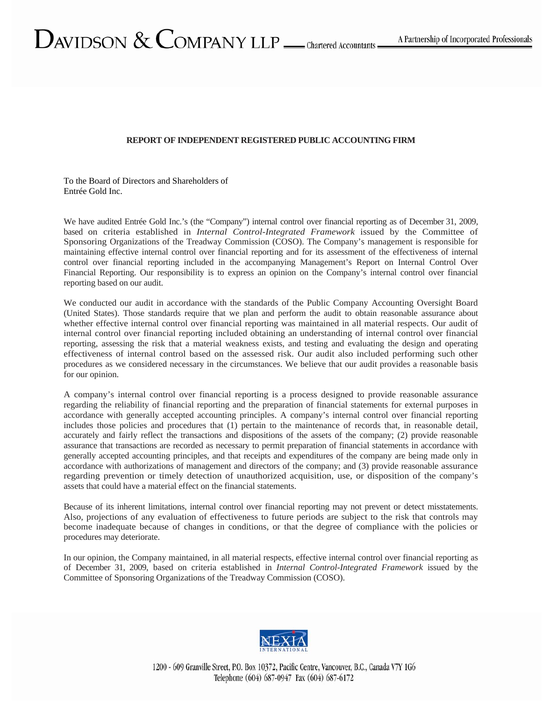# DAVIDSON  $&$  COMPANY LLP  $\_\_$ Chartered Accountants

#### **REPORT OF INDEPENDENT REGISTERED PUBLIC ACCOUNTING FIRM**

To the Board of Directors and Shareholders of Entrée Gold Inc.

We have audited Entrée Gold Inc.'s (the "Company") internal control over financial reporting as of December 31, 2009, based on criteria established in *Internal Control-Integrated Framework* issued by the Committee of Sponsoring Organizations of the Treadway Commission (COSO). The Company's management is responsible for maintaining effective internal control over financial reporting and for its assessment of the effectiveness of internal control over financial reporting included in the accompanying Management's Report on Internal Control Over Financial Reporting. Our responsibility is to express an opinion on the Company's internal control over financial reporting based on our audit.

We conducted our audit in accordance with the standards of the Public Company Accounting Oversight Board (United States). Those standards require that we plan and perform the audit to obtain reasonable assurance about whether effective internal control over financial reporting was maintained in all material respects. Our audit of internal control over financial reporting included obtaining an understanding of internal control over financial reporting, assessing the risk that a material weakness exists, and testing and evaluating the design and operating effectiveness of internal control based on the assessed risk. Our audit also included performing such other procedures as we considered necessary in the circumstances. We believe that our audit provides a reasonable basis for our opinion.

A company's internal control over financial reporting is a process designed to provide reasonable assurance regarding the reliability of financial reporting and the preparation of financial statements for external purposes in accordance with generally accepted accounting principles. A company's internal control over financial reporting includes those policies and procedures that (1) pertain to the maintenance of records that, in reasonable detail, accurately and fairly reflect the transactions and dispositions of the assets of the company; (2) provide reasonable assurance that transactions are recorded as necessary to permit preparation of financial statements in accordance with generally accepted accounting principles, and that receipts and expenditures of the company are being made only in accordance with authorizations of management and directors of the company; and (3) provide reasonable assurance regarding prevention or timely detection of unauthorized acquisition, use, or disposition of the company's assets that could have a material effect on the financial statements.

Because of its inherent limitations, internal control over financial reporting may not prevent or detect misstatements. Also, projections of any evaluation of effectiveness to future periods are subject to the risk that controls may become inadequate because of changes in conditions, or that the degree of compliance with the policies or procedures may deteriorate.

In our opinion, the Company maintained, in all material respects, effective internal control over financial reporting as of December 31, 2009, based on criteria established in *Internal Control-Integrated Framework* issued by the Committee of Sponsoring Organizations of the Treadway Commission (COSO).

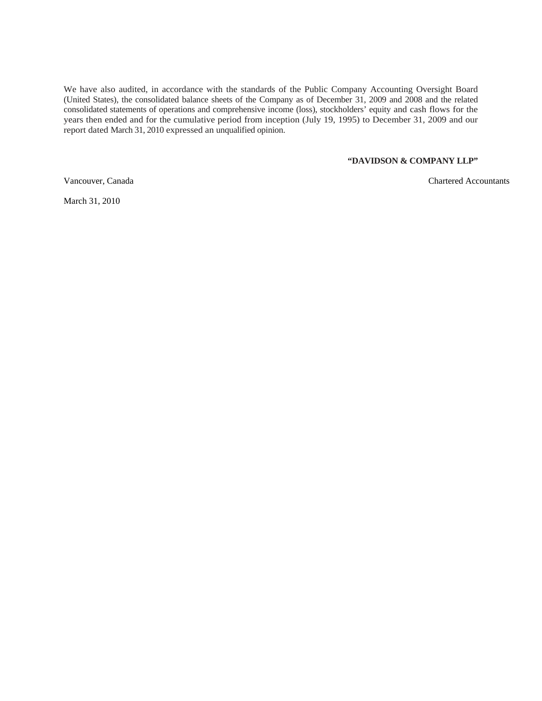We have also audited, in accordance with the standards of the Public Company Accounting Oversight Board (United States), the consolidated balance sheets of the Company as of December 31, 2009 and 2008 and the related consolidated statements of operations and comprehensive income (loss), stockholders' equity and cash flows for the years then ended and for the cumulative period from inception (July 19, 1995) to December 31, 2009 and our report dated March 31, 2010 expressed an unqualified opinion.

#### **"DAVIDSON & COMPANY LLP"**

Vancouver, Canada Chartered Accountants

March 31, 2010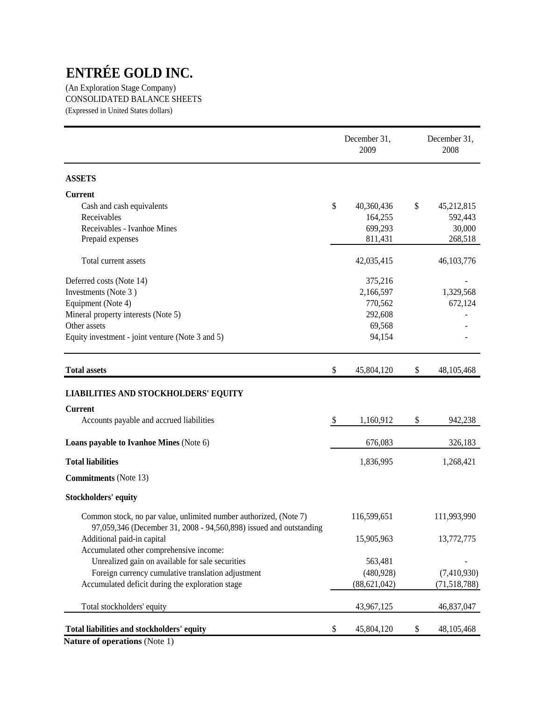(An Exploration Stage Company) CONSOLIDATED BALANCE SHEETS (Expressed in United States dollars)

|                                                                                                                                         | December 31,<br>2009 | December 31,<br>2008 |
|-----------------------------------------------------------------------------------------------------------------------------------------|----------------------|----------------------|
| <b>ASSETS</b>                                                                                                                           |                      |                      |
| <b>Current</b>                                                                                                                          |                      |                      |
| Cash and cash equivalents                                                                                                               | \$<br>40,360,436     | \$<br>45,212,815     |
| Receivables                                                                                                                             | 164,255              | 592,443              |
| Receivables - Ivanhoe Mines                                                                                                             | 699,293              | 30,000               |
| Prepaid expenses                                                                                                                        | 811,431              | 268,518              |
| Total current assets                                                                                                                    | 42,035,415           | 46, 103, 776         |
| Deferred costs (Note 14)                                                                                                                | 375,216              |                      |
| Investments (Note 3)                                                                                                                    | 2,166,597            | 1,329,568            |
| Equipment (Note 4)                                                                                                                      | 770,562              | 672,124              |
| Mineral property interests (Note 5)                                                                                                     | 292,608              |                      |
| Other assets                                                                                                                            | 69,568               |                      |
| Equity investment - joint venture (Note 3 and 5)                                                                                        | 94,154               |                      |
| <b>Total assets</b>                                                                                                                     | \$<br>45,804,120     | \$<br>48, 105, 468   |
| <b>LIABILITIES AND STOCKHOLDERS' EQUITY</b>                                                                                             |                      |                      |
| <b>Current</b>                                                                                                                          |                      |                      |
| Accounts payable and accrued liabilities                                                                                                | \$<br>1,160,912      | \$<br>942,238        |
| Loans payable to Ivanhoe Mines (Note 6)                                                                                                 | 676,083              | 326,183              |
| <b>Total liabilities</b>                                                                                                                | 1,836,995            | 1,268,421            |
| <b>Commitments</b> (Note 13)                                                                                                            |                      |                      |
| <b>Stockholders' equity</b>                                                                                                             |                      |                      |
| Common stock, no par value, unlimited number authorized, (Note 7)<br>97,059,346 (December 31, 2008 - 94,560,898) issued and outstanding | 116,599,651          | 111,993,990          |
| Additional paid-in capital                                                                                                              | 15,905,963           | 13,772,775           |
| Accumulated other comprehensive income:                                                                                                 |                      |                      |
| Unrealized gain on available for sale securities                                                                                        | 563,481              |                      |
| Foreign currency cumulative translation adjustment                                                                                      | (480, 928)           | (7,410,930)          |
| Accumulated deficit during the exploration stage                                                                                        | (88, 621, 042)       | (71, 518, 788)       |
| Total stockholders' equity                                                                                                              | 43,967,125           | 46,837,047           |
| Total liabilities and stockholders' equity                                                                                              | \$<br>45,804,120     | \$<br>48, 105, 468   |
|                                                                                                                                         |                      |                      |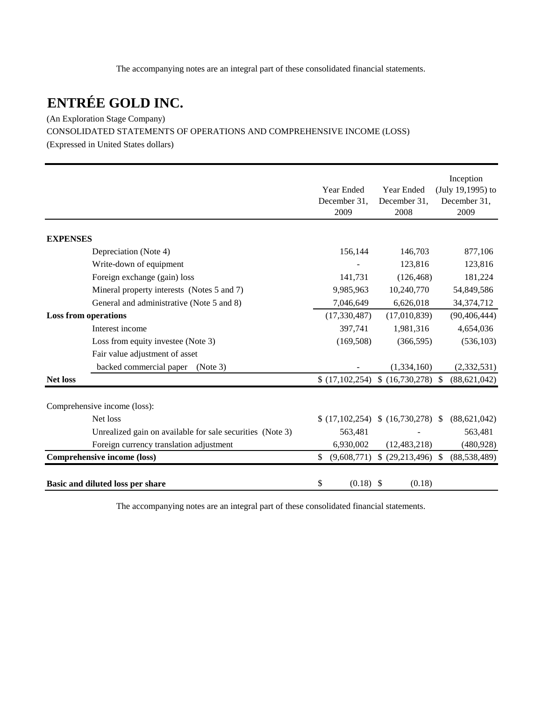(An Exploration Stage Company)

CONSOLIDATED STATEMENTS OF OPERATIONS AND COMPREHENSIVE INCOME (LOSS)

(Expressed in United States dollars)

|                 |                                                           | Year Ended<br>December 31,<br>2009 | Year Ended<br>December 31,<br>2008 | Inception<br>(July 19,1995) to<br>December 31,<br>2009 |
|-----------------|-----------------------------------------------------------|------------------------------------|------------------------------------|--------------------------------------------------------|
|                 |                                                           |                                    |                                    |                                                        |
| <b>EXPENSES</b> |                                                           |                                    |                                    |                                                        |
|                 | Depreciation (Note 4)                                     | 156,144                            | 146,703                            | 877,106                                                |
|                 | Write-down of equipment                                   |                                    | 123,816                            | 123,816                                                |
|                 | Foreign exchange (gain) loss                              | 141,731                            | (126, 468)                         | 181,224                                                |
|                 | Mineral property interests (Notes 5 and 7)                | 9,985,963                          | 10,240,770                         | 54,849,586                                             |
|                 | General and administrative (Note 5 and 8)                 | 7,046,649                          | 6,626,018                          | 34,374,712                                             |
|                 | <b>Loss from operations</b>                               | (17, 330, 487)                     | (17,010,839)                       | (90, 406, 444)                                         |
|                 | Interest income                                           | 397,741                            | 1,981,316                          | 4,654,036                                              |
|                 | Loss from equity investee (Note 3)                        | (169, 508)                         | (366, 595)                         | (536, 103)                                             |
|                 | Fair value adjustment of asset                            |                                    |                                    |                                                        |
|                 | backed commercial paper<br>(Note 3)                       |                                    | (1,334,160)                        | (2, 332, 531)                                          |
| <b>Net loss</b> |                                                           | (17,102,254)                       | (16,730,278)                       | (88, 621, 042)<br>\$                                   |
|                 | Comprehensive income (loss):                              |                                    |                                    |                                                        |
|                 | Net loss                                                  | (17,102,254)                       | $$(16,730,278)$ \\$                | (88, 621, 042)                                         |
|                 | Unrealized gain on available for sale securities (Note 3) | 563,481                            |                                    | 563,481                                                |
|                 | Foreign currency translation adjustment                   | 6,930,002                          | (12, 483, 218)                     | (480, 928)                                             |
|                 | Comprehensive income (loss)                               | (9,608,771)<br>\$                  | (29,213,496)                       | (88, 538, 489)<br><sup>\$</sup>                        |
|                 | Basic and diluted loss per share                          | \$<br>$(0.18)$ \$                  | (0.18)                             |                                                        |

The accompanying notes are an integral part of these consolidated financial statements.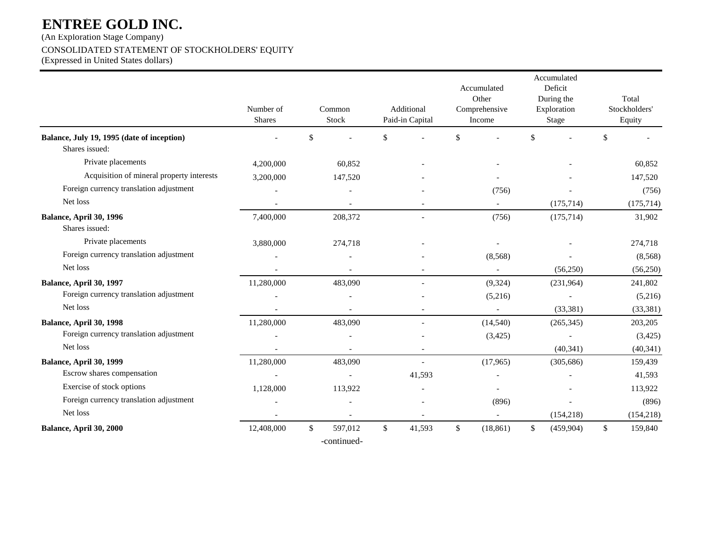(An Exploration Stage Company)

### CONSOLIDATED STATEMENT OF STOCKHOLDERS' EQUITY

(Expressed in United States dollars)

|                                            | Number of<br><b>Shares</b> | Common<br>Stock                        | Additional<br>Paid-in Capital | Accumulated<br>Other<br>Comprehensive<br>Income | Accumulated<br>Deficit<br>During the<br>Exploration<br>Stage | Total<br>Stockholders'<br>Equity |
|--------------------------------------------|----------------------------|----------------------------------------|-------------------------------|-------------------------------------------------|--------------------------------------------------------------|----------------------------------|
| Balance, July 19, 1995 (date of inception) |                            | \$                                     | \$                            | $\$$                                            | \$                                                           | \$                               |
| Shares issued:                             |                            |                                        |                               |                                                 |                                                              |                                  |
| Private placements                         | 4,200,000                  | 60,852                                 |                               |                                                 |                                                              | 60,852                           |
| Acquisition of mineral property interests  | 3,200,000                  | 147,520                                |                               |                                                 |                                                              | 147,520                          |
| Foreign currency translation adjustment    |                            |                                        |                               | (756)                                           |                                                              | (756)                            |
| Net loss                                   |                            |                                        |                               | $\blacksquare$                                  | (175, 714)                                                   | (175, 714)                       |
| Balance, April 30, 1996<br>Shares issued:  | 7,400,000                  | 208,372                                | $\overline{a}$                | (756)                                           | (175, 714)                                                   | 31,902                           |
| Private placements                         | 3,880,000                  | 274,718                                |                               |                                                 |                                                              | 274,718                          |
| Foreign currency translation adjustment    |                            |                                        |                               | (8,568)                                         |                                                              | (8,568)                          |
| Net loss                                   |                            |                                        |                               | $\mathbf{r}$                                    | (56,250)                                                     | (56,250)                         |
| Balance, April 30, 1997                    | 11,280,000                 | 483,090                                |                               | (9, 324)                                        | (231,964)                                                    | 241,802                          |
| Foreign currency translation adjustment    |                            |                                        |                               | (5,216)                                         |                                                              | (5,216)                          |
| Net loss                                   |                            |                                        |                               | $\overline{a}$                                  | (33, 381)                                                    | (33, 381)                        |
| Balance, April 30, 1998                    | 11,280,000                 | 483,090                                |                               | (14, 540)                                       | (265, 345)                                                   | 203,205                          |
| Foreign currency translation adjustment    |                            |                                        |                               | (3,425)                                         |                                                              | (3,425)                          |
| Net loss                                   |                            |                                        |                               |                                                 | (40, 341)                                                    | (40, 341)                        |
| Balance, April 30, 1999                    | 11,280,000                 | 483,090                                | $\overline{\phantom{a}}$      | (17,965)                                        | (305, 686)                                                   | 159,439                          |
| Escrow shares compensation                 |                            |                                        | 41,593                        |                                                 |                                                              | 41,593                           |
| Exercise of stock options                  | 1,128,000                  | 113,922                                |                               |                                                 |                                                              | 113,922                          |
| Foreign currency translation adjustment    |                            |                                        |                               | (896)                                           |                                                              | (896)                            |
| Net loss                                   |                            |                                        |                               | $\overline{\phantom{a}}$                        | (154, 218)                                                   | (154, 218)                       |
| Balance, April 30, 2000                    | 12,408,000                 | $\mathbb{S}$<br>597,012<br>-continued- | $\mathbb{S}$<br>41,593        | $\frac{1}{2}$<br>(18, 861)                      | \$<br>(459, 904)                                             | \$<br>159,840                    |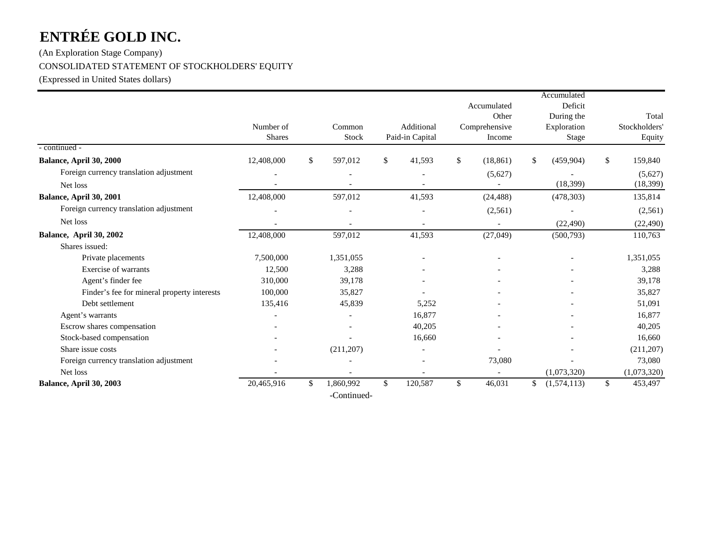(An Exploration Stage Company) CONSOLIDATED STATEMENT OF STOCKHOLDERS' EQUITY

(Expressed in United States dollars)

|                                             |               |              |                               |                 |              |               | Accumulated       |              |               |
|---------------------------------------------|---------------|--------------|-------------------------------|-----------------|--------------|---------------|-------------------|--------------|---------------|
|                                             |               |              |                               |                 |              | Accumulated   | Deficit           |              |               |
|                                             |               |              |                               |                 |              | Other         | During the        |              | Total         |
|                                             | Number of     |              | Common                        | Additional      |              | Comprehensive | Exploration       |              | Stockholders' |
|                                             | <b>Shares</b> |              | Stock                         | Paid-in Capital |              | Income        | <b>Stage</b>      |              | Equity        |
| - continued -                               |               |              |                               |                 |              |               |                   |              |               |
| Balance, April 30, 2000                     | 12,408,000    | $\mathbb{S}$ | 597,012                       | \$<br>41,593    | $\mathbb{S}$ | (18, 861)     | \$<br>(459,904)   | $\mathbb{S}$ | 159,840       |
| Foreign currency translation adjustment     |               |              |                               |                 |              | (5,627)       |                   |              | (5,627)       |
| Net loss                                    |               |              |                               |                 |              |               | (18, 399)         |              | (18, 399)     |
| Balance, April 30, 2001                     | 12,408,000    |              | 597,012                       | 41,593          |              | (24, 488)     | (478, 303)        |              | 135,814       |
| Foreign currency translation adjustment     |               |              |                               |                 |              | (2,561)       |                   |              | (2,561)       |
| Net loss                                    |               |              |                               |                 |              |               | (22, 490)         |              | (22, 490)     |
| Balance, April 30, 2002                     | 12,408,000    |              | 597,012                       | 41,593          |              | (27, 049)     | (500, 793)        |              | 110,763       |
| Shares issued:                              |               |              |                               |                 |              |               |                   |              |               |
| Private placements                          | 7,500,000     |              | 1,351,055                     |                 |              |               |                   |              | 1,351,055     |
| Exercise of warrants                        | 12,500        |              | 3,288                         |                 |              |               |                   |              | 3,288         |
| Agent's finder fee                          | 310,000       |              | 39,178                        |                 |              |               |                   |              | 39,178        |
| Finder's fee for mineral property interests | 100,000       |              | 35,827                        |                 |              |               |                   |              | 35,827        |
| Debt settlement                             | 135,416       |              | 45,839                        | 5,252           |              |               |                   |              | 51,091        |
| Agent's warrants                            |               |              |                               | 16,877          |              |               |                   |              | 16,877        |
| Escrow shares compensation                  |               |              |                               | 40,205          |              |               |                   |              | 40,205        |
| Stock-based compensation                    |               |              |                               | 16,660          |              |               |                   |              | 16,660        |
| Share issue costs                           |               |              | (211, 207)                    |                 |              |               |                   |              | (211, 207)    |
| Foreign currency translation adjustment     |               |              |                               |                 |              | 73,080        |                   |              | 73,080        |
| Net loss                                    |               |              |                               |                 |              |               | (1,073,320)       |              | (1,073,320)   |
| Balance, April 30, 2003                     | 20,465,916    | $\mathbb{S}$ | 1,860,992<br>$\sim$<br>$\sim$ | \$<br>120,587   | \$           | 46,031        | \$<br>(1,574,113) | \$           | 453,497       |

-Continued-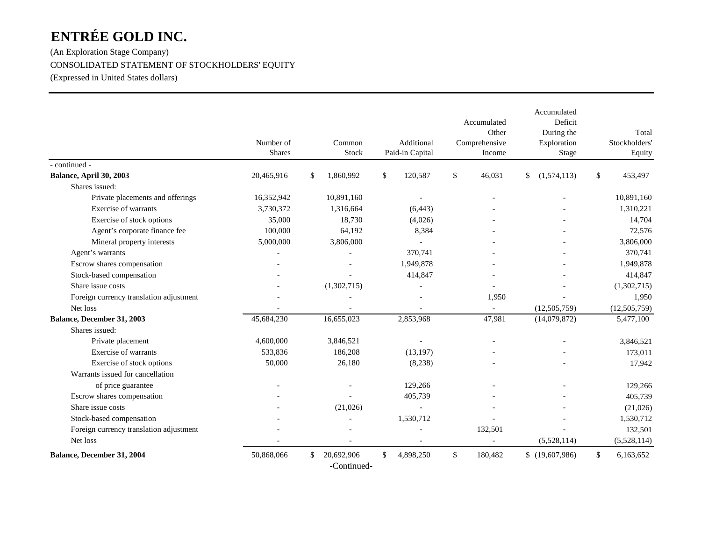(An Exploration Stage Company) CONSOLIDATED STATEMENT OF STOCKHOLDERS' EQUITY (Expressed in United States dollars)

|                                         | Number of<br><b>Shares</b> | Common<br>Stock                 | Additional<br>Paid-in Capital | Accumulated<br>Other<br>Comprehensive<br>Income | Accumulated<br>Deficit<br>During the<br>Exploration<br>Stage | Total<br>Stockholders<br>Equity |
|-----------------------------------------|----------------------------|---------------------------------|-------------------------------|-------------------------------------------------|--------------------------------------------------------------|---------------------------------|
| - continued -                           |                            |                                 |                               |                                                 |                                                              |                                 |
| Balance, April 30, 2003                 | 20,465,916                 | \$<br>1,860,992                 | \$<br>120,587                 | \$<br>46,031                                    | \$<br>(1,574,113)                                            | \$<br>453,497                   |
| Shares issued:                          |                            |                                 |                               |                                                 |                                                              |                                 |
| Private placements and offerings        | 16,352,942                 | 10,891,160                      |                               |                                                 |                                                              | 10,891,160                      |
| Exercise of warrants                    | 3,730,372                  | 1,316,664                       | (6, 443)                      |                                                 |                                                              | 1,310,221                       |
| Exercise of stock options               | 35,000                     | 18,730                          | (4,026)                       |                                                 |                                                              | 14,704                          |
| Agent's corporate finance fee           | 100,000                    | 64,192                          | 8,384                         |                                                 |                                                              | 72,576                          |
| Mineral property interests              | 5,000,000                  | 3,806,000                       |                               |                                                 |                                                              | 3,806,000                       |
| Agent's warrants                        |                            |                                 | 370,741                       |                                                 |                                                              | 370,741                         |
| Escrow shares compensation              |                            |                                 | 1,949,878                     |                                                 |                                                              | 1,949,878                       |
| Stock-based compensation                |                            |                                 | 414,847                       |                                                 |                                                              | 414,847                         |
| Share issue costs                       |                            | (1,302,715)                     |                               |                                                 |                                                              | (1,302,715)                     |
| Foreign currency translation adjustment |                            |                                 |                               | 1,950                                           |                                                              | 1,950                           |
| Net loss                                |                            |                                 |                               | $\overline{a}$                                  | (12,505,759)                                                 | (12, 505, 759)                  |
| Balance, December 31, 2003              | 45,684,230                 | 16,655,023                      | 2,853,968                     | 47,981                                          | (14,079,872)                                                 | 5,477,100                       |
| Shares issued:                          |                            |                                 |                               |                                                 |                                                              |                                 |
| Private placement                       | 4,600,000                  | 3,846,521                       |                               |                                                 |                                                              | 3,846,521                       |
| Exercise of warrants                    | 533,836                    | 186,208                         | (13, 197)                     |                                                 |                                                              | 173,011                         |
| Exercise of stock options               | 50,000                     | 26,180                          | (8,238)                       |                                                 |                                                              | 17,942                          |
| Warrants issued for cancellation        |                            |                                 |                               |                                                 |                                                              |                                 |
| of price guarantee                      |                            |                                 | 129,266                       |                                                 |                                                              | 129,266                         |
| Escrow shares compensation              |                            |                                 | 405,739                       |                                                 |                                                              | 405,739                         |
| Share issue costs                       |                            | (21,026)                        |                               |                                                 |                                                              | (21,026)                        |
| Stock-based compensation                |                            | $\overline{a}$                  | 1,530,712                     |                                                 |                                                              | 1,530,712                       |
| Foreign currency translation adjustment |                            |                                 |                               | 132,501                                         |                                                              | 132,501                         |
| Net loss                                |                            |                                 |                               | $\overline{a}$                                  | (5,528,114)                                                  | (5,528,114)                     |
| Balance, December 31, 2004              | 50,868,066                 | \$<br>20,692,906<br>-Continued- | \$<br>4,898,250               | \$<br>180,482                                   | \$(19,607,986)                                               | $\mathbb{S}$<br>6,163,652       |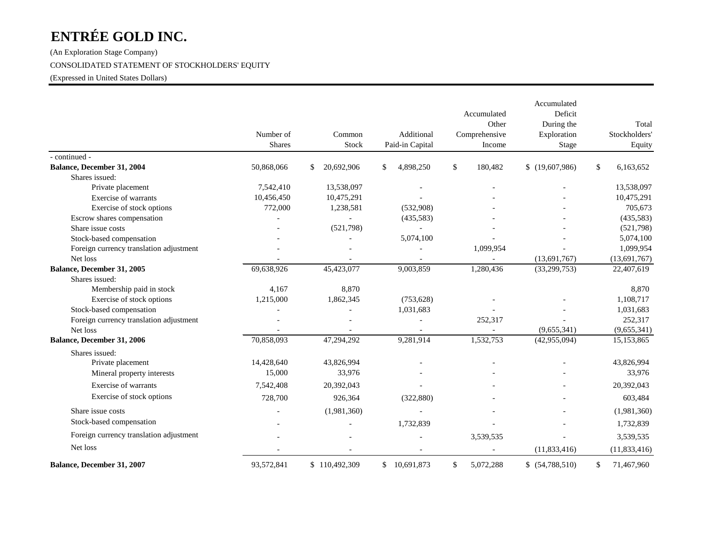(An Exploration Stage Company) CONSOLIDATED STATEMENT OF STOCKHOLDERS' EQUITY

(Expressed in United States Dollars)

|                                         | Number of     | Common            | Additional       | Accumulated<br>Other<br>Comprehensive | Accumulated<br>Deficit<br>During the<br>Exploration | Total<br>Stockholders |
|-----------------------------------------|---------------|-------------------|------------------|---------------------------------------|-----------------------------------------------------|-----------------------|
|                                         | <b>Shares</b> | Stock             | Paid-in Capital  | Income                                | Stage                                               | Equity                |
| - continued -                           |               |                   |                  |                                       |                                                     |                       |
| Balance, December 31, 2004              | 50,868,066    | 20,692,906<br>\$. | \$<br>4,898,250  | \$<br>180,482                         | \$(19,607,986)                                      | 6,163,652<br>\$       |
| Shares issued:                          |               |                   |                  |                                       |                                                     |                       |
| Private placement                       | 7,542,410     | 13,538,097        |                  |                                       |                                                     | 13,538,097            |
| Exercise of warrants                    | 10,456,450    | 10,475,291        |                  |                                       |                                                     | 10,475,291            |
| Exercise of stock options               | 772,000       | 1,238,581         | (532,908)        |                                       |                                                     | 705,673               |
| Escrow shares compensation              |               |                   | (435,583)        |                                       |                                                     | (435,583)             |
| Share issue costs                       |               | (521,798)         |                  |                                       |                                                     | (521,798)             |
| Stock-based compensation                |               |                   | 5,074,100        |                                       |                                                     | 5,074,100             |
| Foreign currency translation adjustment |               |                   |                  | 1,099,954                             |                                                     | 1,099,954             |
| Net loss                                |               |                   |                  |                                       | (13,691,767)                                        | (13,691,767)          |
| Balance, December 31, 2005              | 69,638,926    | 45,423,077        | 9,003,859        | 1,280,436                             | (33, 299, 753)                                      | 22,407,619            |
| Shares issued:                          |               |                   |                  |                                       |                                                     |                       |
| Membership paid in stock                | 4,167         | 8,870             |                  |                                       |                                                     | 8,870                 |
| Exercise of stock options               | 1,215,000     | 1,862,345         | (753, 628)       |                                       |                                                     | 1,108,717             |
| Stock-based compensation                |               |                   | 1,031,683        |                                       |                                                     | 1,031,683             |
| Foreign currency translation adjustment |               |                   |                  | 252,317                               |                                                     | 252,317               |
| Net loss                                |               |                   |                  |                                       | (9,655,341)                                         | (9,655,341)           |
| Balance, December 31, 2006              | 70,858,093    | 47,294,292        | 9,281,914        | 1,532,753                             | (42, 955, 094)                                      | 15,153,865            |
| Shares issued:                          |               |                   |                  |                                       |                                                     |                       |
| Private placement                       | 14,428,640    | 43,826,994        |                  |                                       |                                                     | 43,826,994            |
| Mineral property interests              | 15,000        | 33,976            |                  |                                       |                                                     | 33,976                |
| Exercise of warrants                    | 7,542,408     | 20,392,043        |                  |                                       |                                                     | 20,392,043            |
| Exercise of stock options               | 728,700       | 926,364           | (322, 880)       |                                       |                                                     | 603,484               |
| Share issue costs                       |               | (1,981,360)       |                  |                                       |                                                     | (1,981,360)           |
| Stock-based compensation                |               |                   | 1,732,839        |                                       |                                                     | 1,732,839             |
| Foreign currency translation adjustment |               |                   |                  | 3,539,535                             |                                                     | 3,539,535             |
| Net loss                                |               |                   |                  |                                       | (11, 833, 416)                                      | (11, 833, 416)        |
| Balance, December 31, 2007              | 93,572,841    | \$110,492,309     | \$<br>10,691,873 | $\$$<br>5,072,288                     | \$(54,788,510)                                      | 71,467,960<br>\$      |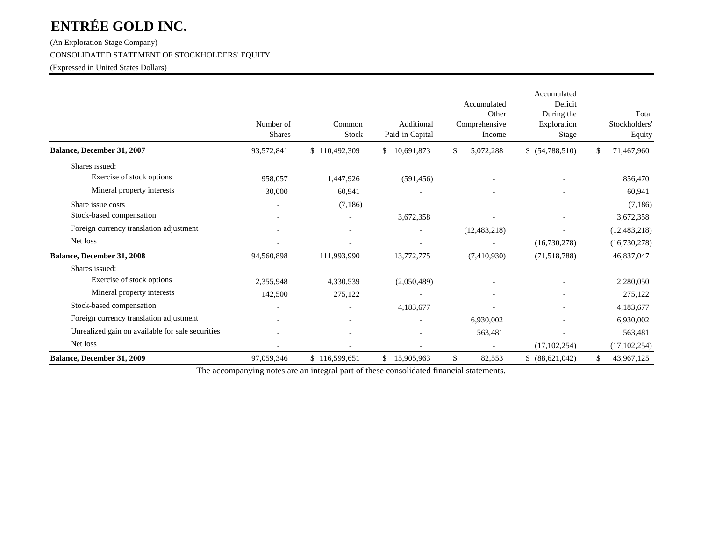(An Exploration Stage Company)

### CONSOLIDATED STATEMENT OF STOCKHOLDERS' EQUITY

(Expressed in United States Dollars)

|                                                  | Number of<br><b>Shares</b> | Common<br>Stock          | Additional<br>Paid-in Capital | Accumulated<br>Other<br>Comprehensive<br>Income | Accumulated<br>Deficit<br>During the<br>Exploration<br>Stage | Total<br>Stockholders<br>Equity |
|--------------------------------------------------|----------------------------|--------------------------|-------------------------------|-------------------------------------------------|--------------------------------------------------------------|---------------------------------|
| Balance, December 31, 2007                       | 93,572,841                 | \$110,492,309            | 10,691,873<br>\$              | \$<br>5,072,288                                 | \$ (54,788,510)                                              | 71,467,960<br>\$.               |
| Shares issued:                                   |                            |                          |                               |                                                 |                                                              |                                 |
| Exercise of stock options                        | 958,057                    | 1,447,926                | (591, 456)                    |                                                 |                                                              | 856,470                         |
| Mineral property interests                       | 30,000                     | 60,941                   |                               |                                                 |                                                              | 60,941                          |
| Share issue costs                                |                            | (7,186)                  |                               |                                                 |                                                              | (7,186)                         |
| Stock-based compensation                         |                            |                          | 3,672,358                     |                                                 |                                                              | 3,672,358                       |
| Foreign currency translation adjustment          | $\overline{\phantom{a}}$   |                          |                               | (12, 483, 218)                                  |                                                              | (12, 483, 218)                  |
| Net loss                                         | $\overline{\phantom{a}}$   |                          |                               |                                                 | (16,730,278)                                                 | (16,730,278)                    |
| Balance, December 31, 2008                       | 94,560,898                 | 111,993,990              | 13,772,775                    | (7,410,930)                                     | (71,518,788)                                                 | 46,837,047                      |
| Shares issued:                                   |                            |                          |                               |                                                 |                                                              |                                 |
| Exercise of stock options                        | 2,355,948                  | 4,330,539                | (2,050,489)                   |                                                 |                                                              | 2,280,050                       |
| Mineral property interests                       | 142,500                    | 275,122                  |                               |                                                 |                                                              | 275,122                         |
| Stock-based compensation                         | $\overline{\phantom{a}}$   |                          | 4,183,677                     |                                                 |                                                              | 4,183,677                       |
| Foreign currency translation adjustment          | $\overline{\phantom{a}}$   | $\overline{\phantom{a}}$ |                               | 6,930,002                                       |                                                              | 6,930,002                       |
| Unrealized gain on available for sale securities |                            |                          |                               | 563,481                                         |                                                              | 563,481                         |
| Net loss                                         |                            |                          |                               |                                                 | (17, 102, 254)                                               | (17, 102, 254)                  |
| Balance, December 31, 2009                       | 97,059,346                 | \$116,599,651            | \$<br>15,905,963              | \$<br>82,553                                    | \$ (88,621,042)                                              | 43,967,125<br>\$.               |

The accompanying notes are an integral part of these consolidated financial statements.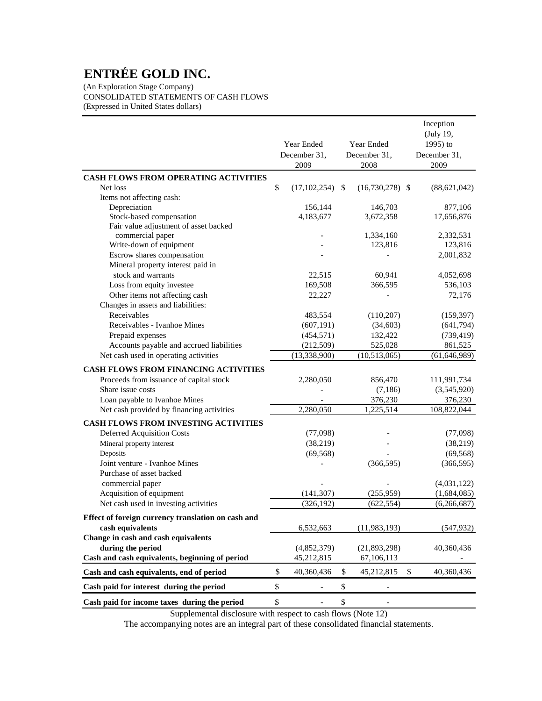(An Exploration Stage Company) CONSOLIDATED STATEMENTS OF CASH FLOWS (Expressed in United States dollars)

|                                                    | Year Ended<br>December 31,     | Year Ended<br>December 31.     | Inception<br>(July 19,<br>1995) to<br>December 31, |             |
|----------------------------------------------------|--------------------------------|--------------------------------|----------------------------------------------------|-------------|
|                                                    | 2009                           | 2008                           | 2009                                               |             |
| <b>CASH FLOWS FROM OPERATING ACTIVITIES</b>        |                                |                                |                                                    |             |
| Net loss                                           | \$<br>$(17, 102, 254)$ \$      | $(16,730,278)$ \$              | (88, 621, 042)                                     |             |
| Items not affecting cash:                          |                                |                                |                                                    |             |
| Depreciation                                       | 156,144                        | 146,703                        |                                                    | 877,106     |
| Stock-based compensation                           | 4,183,677                      | 3,672,358                      | 17,656,876                                         |             |
| Fair value adjustment of asset backed              |                                |                                |                                                    |             |
| commercial paper                                   |                                | 1,334,160                      | 2,332,531                                          |             |
| Write-down of equipment                            |                                | 123,816                        |                                                    | 123,816     |
| Escrow shares compensation                         |                                |                                |                                                    | 2,001,832   |
| Mineral property interest paid in                  |                                |                                |                                                    |             |
| stock and warrants                                 | 22,515                         | 60,941                         |                                                    | 4,052,698   |
| Loss from equity investee                          | 169,508                        | 366,595                        |                                                    | 536,103     |
| Other items not affecting cash                     | 22,227                         |                                |                                                    | 72,176      |
| Changes in assets and liabilities:                 |                                |                                |                                                    |             |
| Receivables                                        | 483,554                        | (110,207)                      |                                                    | (159, 397)  |
| Receivables - Ivanhoe Mines                        | (607, 191)                     | (34, 603)                      |                                                    | (641,794)   |
| Prepaid expenses                                   | (454, 571)                     | 132,422                        |                                                    | (739, 419)  |
| Accounts payable and accrued liabilities           | (212, 509)                     | 525,028                        |                                                    | 861,525     |
| Net cash used in operating activities              | (13,338,900)                   | (10,513,065)                   | (61, 646, 989)                                     |             |
| <b>CASH FLOWS FROM FINANCING ACTIVITIES</b>        |                                |                                |                                                    |             |
|                                                    |                                |                                |                                                    |             |
| Proceeds from issuance of capital stock            | 2,280,050                      | 856,470                        | 111,991,734                                        |             |
| Share issue costs                                  |                                | (7,186)                        | (3,545,920)                                        |             |
| Loan payable to Ivanhoe Mines                      |                                | 376,230                        |                                                    | 376,230     |
| Net cash provided by financing activities          | 2,280,050                      | 1,225,514                      | 108,822,044                                        |             |
| <b>CASH FLOWS FROM INVESTING ACTIVITIES</b>        |                                |                                |                                                    |             |
| <b>Deferred Acquisition Costs</b>                  | (77,098)                       |                                |                                                    | (77,098)    |
| Mineral property interest                          | (38, 219)                      |                                |                                                    | (38,219)    |
| Deposits                                           | (69, 568)                      |                                |                                                    | (69, 568)   |
| Joint venture - Ivanhoe Mines                      |                                | (366, 595)                     |                                                    | (366, 595)  |
| Purchase of asset backed                           |                                |                                |                                                    |             |
| commercial paper                                   |                                |                                |                                                    | (4,031,122) |
| Acquisition of equipment                           | (141, 307)                     | (255,959)                      |                                                    | (1,684,085) |
| Net cash used in investing activities              | (326, 192)                     | (622, 554)                     | (6,266,687)                                        |             |
| Effect of foreign currency translation on cash and |                                |                                |                                                    |             |
| cash equivalents                                   | 6,532,663                      | (11,983,193)                   |                                                    | (547, 932)  |
| Change in cash and cash equivalents                |                                |                                |                                                    |             |
| during the period                                  | (4,852,379)                    | (21,893,298)                   | 40,360,436                                         |             |
| Cash and cash equivalents, beginning of period     | 45,212,815                     | 67,106,113                     |                                                    |             |
|                                                    |                                |                                |                                                    |             |
| Cash and cash equivalents, end of period           | \$<br>40,360,436               | \$<br>45,212,815               | 40,360,436<br>\$                                   |             |
| Cash paid for interest during the period           | \$<br>$\overline{\phantom{0}}$ | \$<br>$\overline{\phantom{0}}$ |                                                    |             |
| Cash paid for income taxes during the period       | \$                             | \$                             |                                                    |             |

Supplemental disclosure with respect to cash flows (Note 12)

The accompanying notes are an integral part of these consolidated financial statements.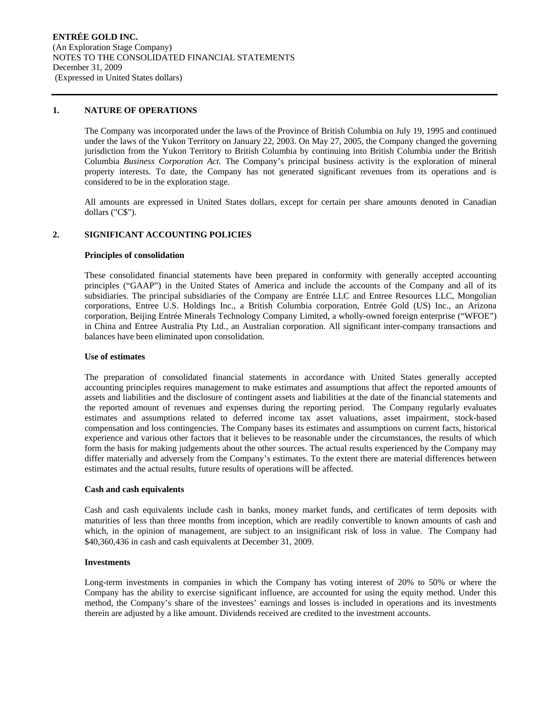#### **1. NATURE OF OPERATIONS**

The Company was incorporated under the laws of the Province of British Columbia on July 19, 1995 and continued under the laws of the Yukon Territory on January 22, 2003. On May 27, 2005, the Company changed the governing jurisdiction from the Yukon Territory to British Columbia by continuing into British Columbia under the British Columbia *Business Corporation Act.* The Company's principal business activity is the exploration of mineral property interests. To date, the Company has not generated significant revenues from its operations and is considered to be in the exploration stage.

All amounts are expressed in United States dollars, except for certain per share amounts denoted in Canadian dollars ("C\$").

#### **2. SIGNIFICANT ACCOUNTING POLICIES**

#### **Principles of consolidation**

These consolidated financial statements have been prepared in conformity with generally accepted accounting principles ("GAAP") in the United States of America and include the accounts of the Company and all of its subsidiaries. The principal subsidiaries of the Company are Entrée LLC and Entree Resources LLC, Mongolian corporations, Entree U.S. Holdings Inc., a British Columbia corporation, Entrée Gold (US) Inc., an Arizona corporation, Beijing Entrée Minerals Technology Company Limited, a wholly-owned foreign enterprise ("WFOE") in China and Entree Australia Pty Ltd., an Australian corporation. All significant inter-company transactions and balances have been eliminated upon consolidation.

#### **Use of estimates**

The preparation of consolidated financial statements in accordance with United States generally accepted accounting principles requires management to make estimates and assumptions that affect the reported amounts of assets and liabilities and the disclosure of contingent assets and liabilities at the date of the financial statements and the reported amount of revenues and expenses during the reporting period. The Company regularly evaluates estimates and assumptions related to deferred income tax asset valuations, asset impairment, stock-based compensation and loss contingencies. The Company bases its estimates and assumptions on current facts, historical experience and various other factors that it believes to be reasonable under the circumstances, the results of which form the basis for making judgements about the other sources. The actual results experienced by the Company may differ materially and adversely from the Company's estimates. To the extent there are material differences between estimates and the actual results, future results of operations will be affected.

#### **Cash and cash equivalents**

Cash and cash equivalents include cash in banks, money market funds, and certificates of term deposits with maturities of less than three months from inception, which are readily convertible to known amounts of cash and which, in the opinion of management, are subject to an insignificant risk of loss in value. The Company had \$40,360,436 in cash and cash equivalents at December 31, 2009.

#### **Investments**

Long-term investments in companies in which the Company has voting interest of 20% to 50% or where the Company has the ability to exercise significant influence, are accounted for using the equity method. Under this method, the Company's share of the investees' earnings and losses is included in operations and its investments therein are adjusted by a like amount. Dividends received are credited to the investment accounts.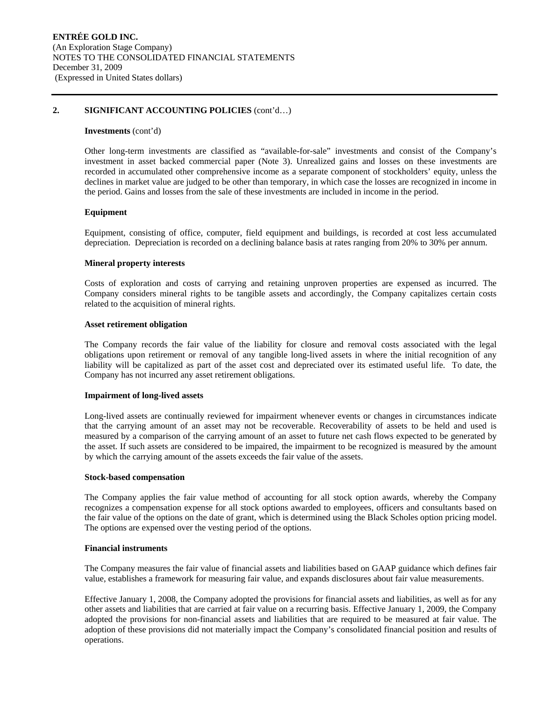#### **Investments** (cont'd)

Other long-term investments are classified as "available-for-sale" investments and consist of the Company's investment in asset backed commercial paper (Note 3). Unrealized gains and losses on these investments are recorded in accumulated other comprehensive income as a separate component of stockholders' equity, unless the declines in market value are judged to be other than temporary, in which case the losses are recognized in income in the period. Gains and losses from the sale of these investments are included in income in the period.

#### **Equipment**

Equipment, consisting of office, computer, field equipment and buildings, is recorded at cost less accumulated depreciation. Depreciation is recorded on a declining balance basis at rates ranging from 20% to 30% per annum.

#### **Mineral property interests**

Costs of exploration and costs of carrying and retaining unproven properties are expensed as incurred. The Company considers mineral rights to be tangible assets and accordingly, the Company capitalizes certain costs related to the acquisition of mineral rights.

#### **Asset retirement obligation**

The Company records the fair value of the liability for closure and removal costs associated with the legal obligations upon retirement or removal of any tangible long-lived assets in where the initial recognition of any liability will be capitalized as part of the asset cost and depreciated over its estimated useful life. To date, the Company has not incurred any asset retirement obligations.

#### **Impairment of long-lived assets**

Long-lived assets are continually reviewed for impairment whenever events or changes in circumstances indicate that the carrying amount of an asset may not be recoverable. Recoverability of assets to be held and used is measured by a comparison of the carrying amount of an asset to future net cash flows expected to be generated by the asset. If such assets are considered to be impaired, the impairment to be recognized is measured by the amount by which the carrying amount of the assets exceeds the fair value of the assets.

#### **Stock-based compensation**

The Company applies the fair value method of accounting for all stock option awards, whereby the Company recognizes a compensation expense for all stock options awarded to employees, officers and consultants based on the fair value of the options on the date of grant, which is determined using the Black Scholes option pricing model. The options are expensed over the vesting period of the options.

#### **Financial instruments**

The Company measures the fair value of financial assets and liabilities based on GAAP guidance which defines fair value, establishes a framework for measuring fair value, and expands disclosures about fair value measurements.

Effective January 1, 2008, the Company adopted the provisions for financial assets and liabilities, as well as for any other assets and liabilities that are carried at fair value on a recurring basis. Effective January 1, 2009, the Company adopted the provisions for non-financial assets and liabilities that are required to be measured at fair value. The adoption of these provisions did not materially impact the Company's consolidated financial position and results of operations.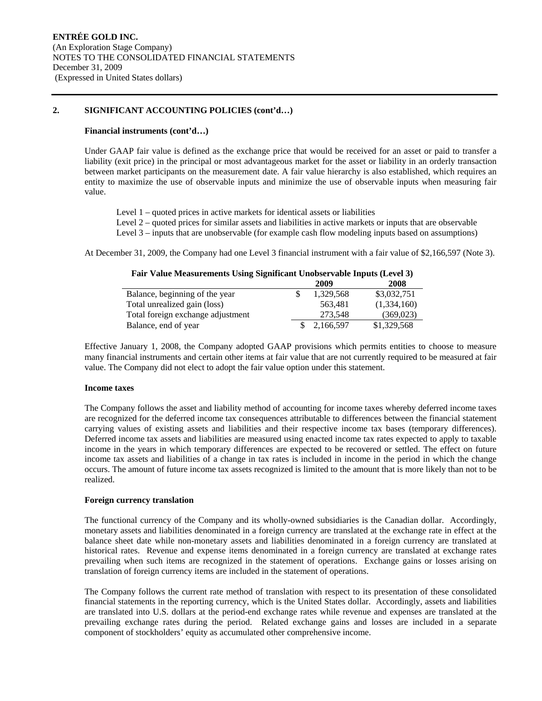#### **Financial instruments (cont'd…)**

Under GAAP fair value is defined as the exchange price that would be received for an asset or paid to transfer a liability (exit price) in the principal or most advantageous market for the asset or liability in an orderly transaction between market participants on the measurement date. A fair value hierarchy is also established, which requires an entity to maximize the use of observable inputs and minimize the use of observable inputs when measuring fair value.

Level 1 – quoted prices in active markets for identical assets or liabilities

Level 2 – quoted prices for similar assets and liabilities in active markets or inputs that are observable

Level 3 – inputs that are unobservable (for example cash flow modeling inputs based on assumptions)

At December 31, 2009, the Company had one Level 3 financial instrument with a fair value of \$2,166,597 (Note 3).

| Fair Value Measurements Using Significant Unobservable Inputs (Level 3) |  |           |             |  |  |  |  |  |
|-------------------------------------------------------------------------|--|-----------|-------------|--|--|--|--|--|
|                                                                         |  | 2009      | 2008        |  |  |  |  |  |
| Balance, beginning of the year                                          |  | 1.329.568 | \$3,032,751 |  |  |  |  |  |
| Total unrealized gain (loss)                                            |  | 563.481   | (1,334,160) |  |  |  |  |  |
| Total foreign exchange adjustment                                       |  | 273.548   | (369,023)   |  |  |  |  |  |
| Balance, end of year                                                    |  | 2.166.597 | \$1,329,568 |  |  |  |  |  |

Effective January 1, 2008, the Company adopted GAAP provisions which permits entities to choose to measure many financial instruments and certain other items at fair value that are not currently required to be measured at fair value. The Company did not elect to adopt the fair value option under this statement.

#### **Income taxes**

The Company follows the asset and liability method of accounting for income taxes whereby deferred income taxes are recognized for the deferred income tax consequences attributable to differences between the financial statement carrying values of existing assets and liabilities and their respective income tax bases (temporary differences). Deferred income tax assets and liabilities are measured using enacted income tax rates expected to apply to taxable income in the years in which temporary differences are expected to be recovered or settled. The effect on future income tax assets and liabilities of a change in tax rates is included in income in the period in which the change occurs. The amount of future income tax assets recognized is limited to the amount that is more likely than not to be realized.

#### **Foreign currency translation**

The functional currency of the Company and its wholly-owned subsidiaries is the Canadian dollar. Accordingly, monetary assets and liabilities denominated in a foreign currency are translated at the exchange rate in effect at the balance sheet date while non-monetary assets and liabilities denominated in a foreign currency are translated at historical rates. Revenue and expense items denominated in a foreign currency are translated at exchange rates prevailing when such items are recognized in the statement of operations. Exchange gains or losses arising on translation of foreign currency items are included in the statement of operations.

The Company follows the current rate method of translation with respect to its presentation of these consolidated financial statements in the reporting currency, which is the United States dollar. Accordingly, assets and liabilities are translated into U.S. dollars at the period-end exchange rates while revenue and expenses are translated at the prevailing exchange rates during the period. Related exchange gains and losses are included in a separate component of stockholders' equity as accumulated other comprehensive income.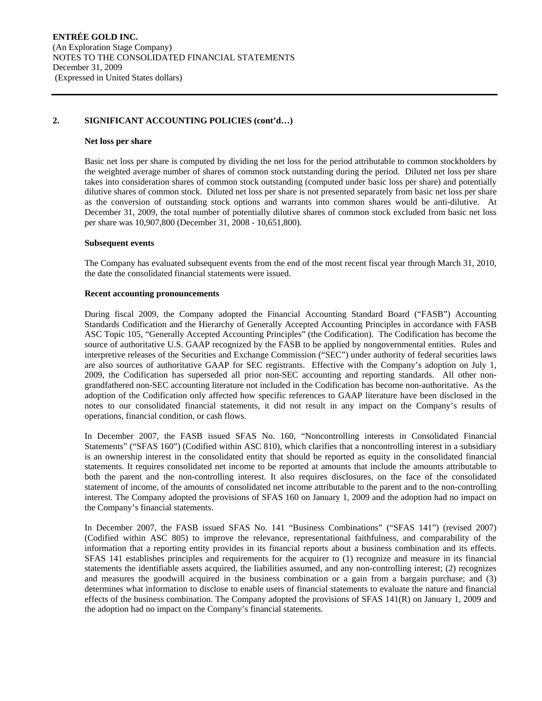#### **Net loss per share**

Basic net loss per share is computed by dividing the net loss for the period attributable to common stockholders by the weighted average number of shares of common stock outstanding during the period. Diluted net loss per share takes into consideration shares of common stock outstanding (computed under basic loss per share) and potentially dilutive shares of common stock. Diluted net loss per share is not presented separately from basic net loss per share as the conversion of outstanding stock options and warrants into common shares would be anti-dilutive. At December 31, 2009, the total number of potentially dilutive shares of common stock excluded from basic net loss per share was 10,907,800 (December 31, 2008 - 10,651,800).

#### **Subsequent events**

The Company has evaluated subsequent events from the end of the most recent fiscal year through March 31, 2010, the date the consolidated financial statements were issued.

#### **Recent accounting pronouncements**

During fiscal 2009, the Company adopted the Financial Accounting Standard Board ("FASB") Accounting Standards Codification and the Hierarchy of Generally Accepted Accounting Principles in accordance with FASB ASC Topic 105, "Generally Accepted Accounting Principles" (the Codification). The Codification has become the source of authoritative U.S. GAAP recognized by the FASB to be applied by nongovernmental entities. Rules and interpretive releases of the Securities and Exchange Commission ("SEC") under authority of federal securities laws are also sources of authoritative GAAP for SEC registrants. Effective with the Company's adoption on July 1, 2009, the Codification has superseded all prior non-SEC accounting and reporting standards. All other nongrandfathered non-SEC accounting literature not included in the Codification has become non-authoritative. As the adoption of the Codification only affected how specific references to GAAP literature have been disclosed in the notes to our consolidated financial statements, it did not result in any impact on the Company's results of operations, financial condition, or cash flows.

In December 2007, the FASB issued SFAS No. 160, "Noncontrolling interests in Consolidated Financial Statements" ("SFAS 160") (Codified within ASC 810), which clarifies that a noncontrolling interest in a subsidiary is an ownership interest in the consolidated entity that should be reported as equity in the consolidated financial statements. It requires consolidated net income to be reported at amounts that include the amounts attributable to both the parent and the non-controlling interest. It also requires disclosures, on the face of the consolidated statement of income, of the amounts of consolidated net income attributable to the parent and to the non-controlling interest. The Company adopted the provisions of SFAS 160 on January 1, 2009 and the adoption had no impact on the Company's financial statements.

In December 2007, the FASB issued SFAS No. 141 "Business Combinations" ("SFAS 141") (revised 2007) (Codified within ASC 805) to improve the relevance, representational faithfulness, and comparability of the information that a reporting entity provides in its financial reports about a business combination and its effects. SFAS 141 establishes principles and requirements for the acquirer to (1) recognize and measure in its financial statements the identifiable assets acquired, the liabilities assumed, and any non-controlling interest; (2) recognizes and measures the goodwill acquired in the business combination or a gain from a bargain purchase; and (3) determines what information to disclose to enable users of financial statements to evaluate the nature and financial effects of the business combination. The Company adopted the provisions of SFAS 141(R) on January 1, 2009 and the adoption had no impact on the Company's financial statements.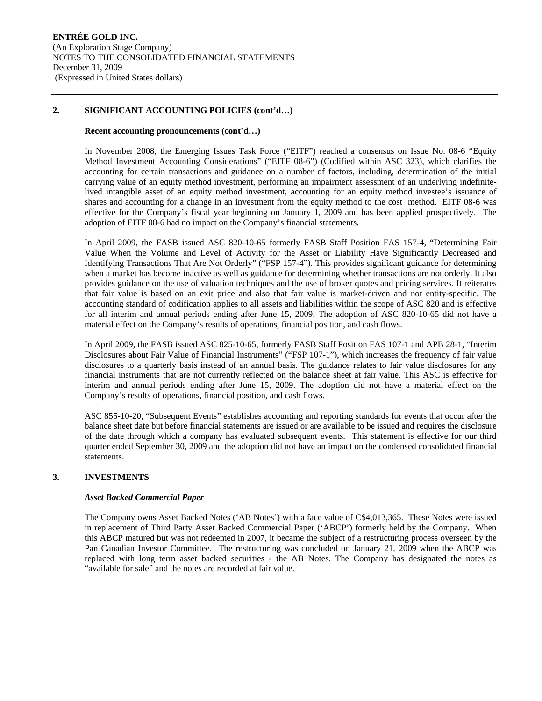#### **Recent accounting pronouncements (cont'd…)**

In November 2008, the Emerging Issues Task Force ("EITF") reached a consensus on Issue No. 08-6 "Equity Method Investment Accounting Considerations" ("EITF 08-6") (Codified within ASC 323), which clarifies the accounting for certain transactions and guidance on a number of factors, including, determination of the initial carrying value of an equity method investment, performing an impairment assessment of an underlying indefinitelived intangible asset of an equity method investment, accounting for an equity method investee's issuance of shares and accounting for a change in an investment from the equity method to the cost method. EITF 08-6 was effective for the Company's fiscal year beginning on January 1, 2009 and has been applied prospectively. The adoption of EITF 08-6 had no impact on the Company's financial statements.

In April 2009, the FASB issued ASC 820-10-65 formerly FASB Staff Position FAS 157-4, "Determining Fair Value When the Volume and Level of Activity for the Asset or Liability Have Significantly Decreased and Identifying Transactions That Are Not Orderly" ("FSP 157-4"). This provides significant guidance for determining when a market has become inactive as well as guidance for determining whether transactions are not orderly. It also provides guidance on the use of valuation techniques and the use of broker quotes and pricing services. It reiterates that fair value is based on an exit price and also that fair value is market-driven and not entity-specific. The accounting standard of codification applies to all assets and liabilities within the scope of ASC 820 and is effective for all interim and annual periods ending after June 15, 2009. The adoption of ASC 820-10-65 did not have a material effect on the Company's results of operations, financial position, and cash flows.

In April 2009, the FASB issued ASC 825-10-65, formerly FASB Staff Position FAS 107-1 and APB 28-1, "Interim Disclosures about Fair Value of Financial Instruments" ("FSP 107-1"), which increases the frequency of fair value disclosures to a quarterly basis instead of an annual basis. The guidance relates to fair value disclosures for any financial instruments that are not currently reflected on the balance sheet at fair value. This ASC is effective for interim and annual periods ending after June 15, 2009. The adoption did not have a material effect on the Company's results of operations, financial position, and cash flows.

ASC 855-10-20, "Subsequent Events" establishes accounting and reporting standards for events that occur after the balance sheet date but before financial statements are issued or are available to be issued and requires the disclosure of the date through which a company has evaluated subsequent events. This statement is effective for our third quarter ended September 30, 2009 and the adoption did not have an impact on the condensed consolidated financial statements.

#### **3. INVESTMENTS**

#### *Asset Backed Commercial Paper*

The Company owns Asset Backed Notes ('AB Notes') with a face value of C\$4,013,365. These Notes were issued in replacement of Third Party Asset Backed Commercial Paper ('ABCP') formerly held by the Company. When this ABCP matured but was not redeemed in 2007, it became the subject of a restructuring process overseen by the Pan Canadian Investor Committee. The restructuring was concluded on January 21, 2009 when the ABCP was replaced with long term asset backed securities - the AB Notes. The Company has designated the notes as "available for sale" and the notes are recorded at fair value.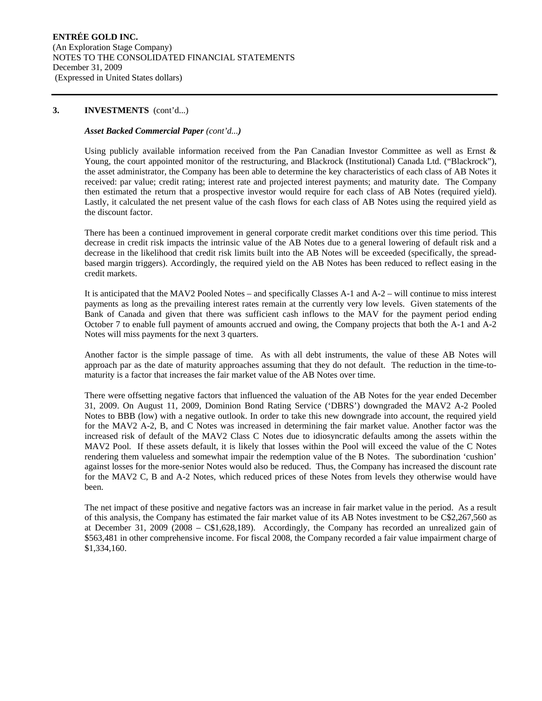#### **3. INVESTMENTS** (cont'd...)

#### *Asset Backed Commercial Paper (cont'd...)*

Using publicly available information received from the Pan Canadian Investor Committee as well as Ernst & Young, the court appointed monitor of the restructuring, and Blackrock (Institutional) Canada Ltd. ("Blackrock"), the asset administrator, the Company has been able to determine the key characteristics of each class of AB Notes it received: par value; credit rating; interest rate and projected interest payments; and maturity date. The Company then estimated the return that a prospective investor would require for each class of AB Notes (required yield). Lastly, it calculated the net present value of the cash flows for each class of AB Notes using the required yield as the discount factor.

There has been a continued improvement in general corporate credit market conditions over this time period. This decrease in credit risk impacts the intrinsic value of the AB Notes due to a general lowering of default risk and a decrease in the likelihood that credit risk limits built into the AB Notes will be exceeded (specifically, the spreadbased margin triggers). Accordingly, the required yield on the AB Notes has been reduced to reflect easing in the credit markets.

It is anticipated that the MAV2 Pooled Notes – and specifically Classes A-1 and A-2 – will continue to miss interest payments as long as the prevailing interest rates remain at the currently very low levels. Given statements of the Bank of Canada and given that there was sufficient cash inflows to the MAV for the payment period ending October 7 to enable full payment of amounts accrued and owing, the Company projects that both the A-1 and A-2 Notes will miss payments for the next 3 quarters.

Another factor is the simple passage of time. As with all debt instruments, the value of these AB Notes will approach par as the date of maturity approaches assuming that they do not default. The reduction in the time-tomaturity is a factor that increases the fair market value of the AB Notes over time.

There were offsetting negative factors that influenced the valuation of the AB Notes for the year ended December 31, 2009. On August 11, 2009, Dominion Bond Rating Service ('DBRS') downgraded the MAV2 A-2 Pooled Notes to BBB (low) with a negative outlook. In order to take this new downgrade into account, the required yield for the MAV2 A-2, B, and C Notes was increased in determining the fair market value. Another factor was the increased risk of default of the MAV2 Class C Notes due to idiosyncratic defaults among the assets within the MAV2 Pool. If these assets default, it is likely that losses within the Pool will exceed the value of the C Notes rendering them valueless and somewhat impair the redemption value of the B Notes. The subordination 'cushion' against losses for the more-senior Notes would also be reduced. Thus, the Company has increased the discount rate for the MAV2 C, B and A-2 Notes, which reduced prices of these Notes from levels they otherwise would have been.

The net impact of these positive and negative factors was an increase in fair market value in the period. As a result of this analysis, the Company has estimated the fair market value of its AB Notes investment to be C\$2,267,560 as at December 31, 2009 (2008 – C\$1,628,189). Accordingly, the Company has recorded an unrealized gain of \$563,481 in other comprehensive income. For fiscal 2008, the Company recorded a fair value impairment charge of \$1,334,160.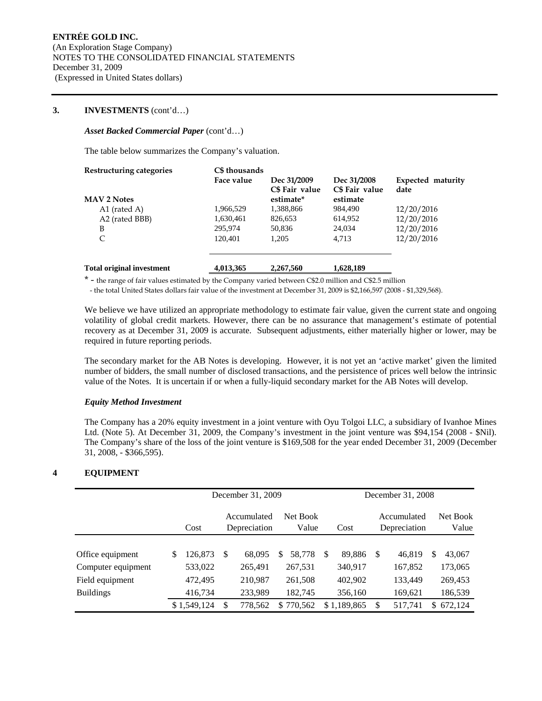#### **3. INVESTMENTS** (cont'd…)

#### *Asset Backed Commercial Paper* (cont'd…)

The table below summarizes the Company's valuation.

| <b>Restructuring categories</b> | C\$ thousands<br>Face value | Dec 31/2009<br>C\$ Fair value | Dec 31/2008<br>C\$ Fair value | Expected maturity<br>date |
|---------------------------------|-----------------------------|-------------------------------|-------------------------------|---------------------------|
| <b>MAV 2 Notes</b>              |                             | estimate*                     | estimate                      |                           |
| A1 (rated A)                    | 1,966,529                   | 1,388,866                     | 984,490                       | 12/20/2016                |
| A2 (rated BBB)                  | 1,630,461                   | 826,653                       | 614,952                       | 12/20/2016                |
| B                               | 295,974                     | 50,836                        | 24,034                        | 12/20/2016                |
| C                               | 120.401                     | 1,205                         | 4,713                         | 12/20/2016                |
| Total original investment       | 4,013,365                   | 2,267,560                     | 1,628,189                     |                           |

\* - the range of fair values estimated by the Company varied between C\$2.0 million and C\$2.5 million

- the total United States dollars fair value of the investment at December 31, 2009 is \$2,166,597 (2008 - \$1,329,568).

We believe we have utilized an appropriate methodology to estimate fair value, given the current state and ongoing volatility of global credit markets. However, there can be no assurance that management's estimate of potential recovery as at December 31, 2009 is accurate. Subsequent adjustments, either materially higher or lower, may be required in future reporting periods.

The secondary market for the AB Notes is developing. However, it is not yet an 'active market' given the limited number of bidders, the small number of disclosed transactions, and the persistence of prices well below the intrinsic value of the Notes. It is uncertain if or when a fully-liquid secondary market for the AB Notes will develop.

#### *Equity Method Investment*

The Company has a 20% equity investment in a joint venture with Oyu Tolgoi LLC, a subsidiary of Ivanhoe Mines Ltd. (Note 5). At December 31, 2009, the Company's investment in the joint venture was \$94,154 (2008 - \$Nil). The Company's share of the loss of the joint venture is \$169,508 for the year ended December 31, 2009 (December 31, 2008, - \$366,595).

#### **4 EQUIPMENT**

|                    |   |             | December 31, 2009 |                             |   |                   |   |             |               | December 31, 2008           |    |                   |
|--------------------|---|-------------|-------------------|-----------------------------|---|-------------------|---|-------------|---------------|-----------------------------|----|-------------------|
|                    |   | Cost        |                   | Accumulated<br>Depreciation |   | Net Book<br>Value |   | Cost        |               | Accumulated<br>Depreciation |    | Net Book<br>Value |
| Office equipment   | S | 126,873     | S                 | 68,095                      | S | 58,778            | S | 89,886      | -\$           | 46,819                      | S  | 43,067            |
| Computer equipment |   | 533,022     |                   | 265,491                     |   | 267,531           |   | 340,917     |               | 167,852                     |    | 173,065           |
| Field equipment    |   | 472,495     |                   | 210,987                     |   | 261,508           |   | 402,902     |               | 133,449                     |    | 269,453           |
| <b>Buildings</b>   |   | 416,734     |                   | 233,989                     |   | 182,745           |   | 356,160     |               | 169,621                     |    | 186,539           |
|                    |   | \$1.549.124 | \$                | 778,562                     |   | \$770,562         |   | \$1.189.865 | <sup>\$</sup> | 517.741                     | \$ | 672.124           |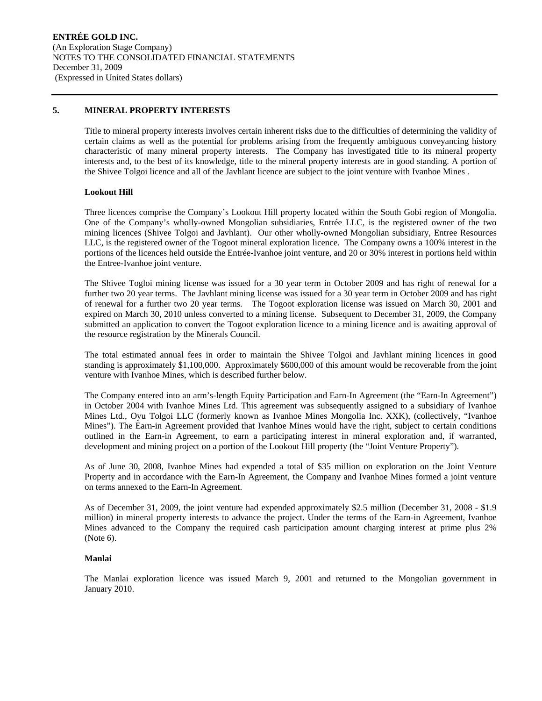#### **5. MINERAL PROPERTY INTERESTS**

Title to mineral property interests involves certain inherent risks due to the difficulties of determining the validity of certain claims as well as the potential for problems arising from the frequently ambiguous conveyancing history characteristic of many mineral property interests. The Company has investigated title to its mineral property interests and, to the best of its knowledge, title to the mineral property interests are in good standing. A portion of the Shivee Tolgoi licence and all of the Javhlant licence are subject to the joint venture with Ivanhoe Mines .

#### **Lookout Hill**

Three licences comprise the Company's Lookout Hill property located within the South Gobi region of Mongolia. One of the Company's wholly-owned Mongolian subsidiaries, Entrée LLC, is the registered owner of the two mining licences (Shivee Tolgoi and Javhlant). Our other wholly-owned Mongolian subsidiary, Entree Resources LLC, is the registered owner of the Togoot mineral exploration licence. The Company owns a 100% interest in the portions of the licences held outside the Entrée-Ivanhoe joint venture, and 20 or 30% interest in portions held within the Entree-Ivanhoe joint venture.

The Shivee Togloi mining license was issued for a 30 year term in October 2009 and has right of renewal for a further two 20 year terms. The Javhlant mining license was issued for a 30 year term in October 2009 and has right of renewal for a further two 20 year terms. The Togoot exploration license was issued on March 30, 2001 and expired on March 30, 2010 unless converted to a mining license. Subsequent to December 31, 2009, the Company submitted an application to convert the Togoot exploration licence to a mining licence and is awaiting approval of the resource registration by the Minerals Council.

The total estimated annual fees in order to maintain the Shivee Tolgoi and Javhlant mining licences in good standing is approximately \$1,100,000. Approximately \$600,000 of this amount would be recoverable from the joint venture with Ivanhoe Mines, which is described further below.

The Company entered into an arm's-length Equity Participation and Earn-In Agreement (the "Earn-In Agreement") in October 2004 with Ivanhoe Mines Ltd. This agreement was subsequently assigned to a subsidiary of Ivanhoe Mines Ltd., Oyu Tolgoi LLC (formerly known as Ivanhoe Mines Mongolia Inc. XXK), (collectively, "Ivanhoe Mines"). The Earn-in Agreement provided that Ivanhoe Mines would have the right, subject to certain conditions outlined in the Earn-in Agreement, to earn a participating interest in mineral exploration and, if warranted, development and mining project on a portion of the Lookout Hill property (the "Joint Venture Property").

As of June 30, 2008, Ivanhoe Mines had expended a total of \$35 million on exploration on the Joint Venture Property and in accordance with the Earn-In Agreement, the Company and Ivanhoe Mines formed a joint venture on terms annexed to the Earn-In Agreement.

As of December 31, 2009, the joint venture had expended approximately \$2.5 million (December 31, 2008 - \$1.9 million) in mineral property interests to advance the project. Under the terms of the Earn-in Agreement, Ivanhoe Mines advanced to the Company the required cash participation amount charging interest at prime plus 2% (Note 6).

#### **Manlai**

The Manlai exploration licence was issued March 9, 2001 and returned to the Mongolian government in January 2010.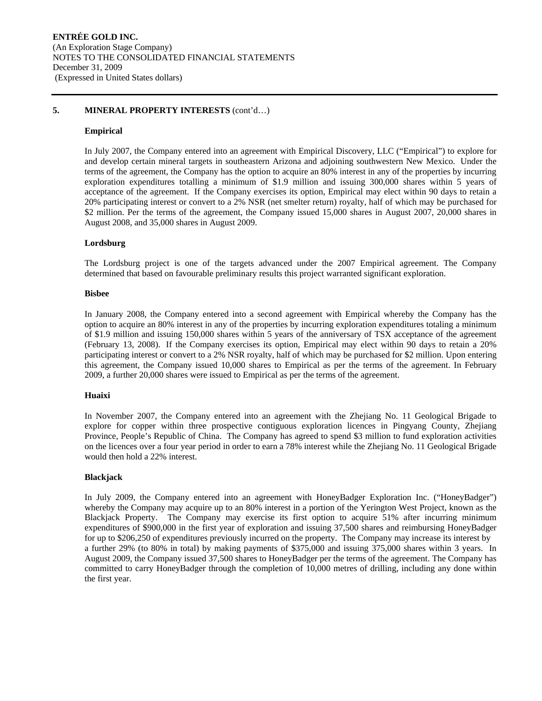#### **5. MINERAL PROPERTY INTERESTS** (cont'd…)

#### **Empirical**

In July 2007, the Company entered into an agreement with Empirical Discovery, LLC ("Empirical") to explore for and develop certain mineral targets in southeastern Arizona and adjoining southwestern New Mexico. Under the terms of the agreement, the Company has the option to acquire an 80% interest in any of the properties by incurring exploration expenditures totalling a minimum of \$1.9 million and issuing 300,000 shares within 5 years of acceptance of the agreement. If the Company exercises its option, Empirical may elect within 90 days to retain a 20% participating interest or convert to a 2% NSR (net smelter return) royalty, half of which may be purchased for \$2 million. Per the terms of the agreement, the Company issued 15,000 shares in August 2007, 20,000 shares in August 2008, and 35,000 shares in August 2009.

#### **Lordsburg**

The Lordsburg project is one of the targets advanced under the 2007 Empirical agreement. The Company determined that based on favourable preliminary results this project warranted significant exploration.

#### **Bisbee**

In January 2008, the Company entered into a second agreement with Empirical whereby the Company has the option to acquire an 80% interest in any of the properties by incurring exploration expenditures totaling a minimum of \$1.9 million and issuing 150,000 shares within 5 years of the anniversary of TSX acceptance of the agreement (February 13, 2008). If the Company exercises its option, Empirical may elect within 90 days to retain a 20% participating interest or convert to a 2% NSR royalty, half of which may be purchased for \$2 million. Upon entering this agreement, the Company issued 10,000 shares to Empirical as per the terms of the agreement. In February 2009, a further 20,000 shares were issued to Empirical as per the terms of the agreement.

#### **Huaixi**

In November 2007, the Company entered into an agreement with the Zhejiang No. 11 Geological Brigade to explore for copper within three prospective contiguous exploration licences in Pingyang County, Zhejiang Province, People's Republic of China. The Company has agreed to spend \$3 million to fund exploration activities on the licences over a four year period in order to earn a 78% interest while the Zhejiang No. 11 Geological Brigade would then hold a 22% interest.

#### **Blackjack**

In July 2009, the Company entered into an agreement with HoneyBadger Exploration Inc. ("HoneyBadger") whereby the Company may acquire up to an 80% interest in a portion of the Yerington West Project, known as the Blackjack Property. The Company may exercise its first option to acquire 51% after incurring minimum expenditures of \$900,000 in the first year of exploration and issuing 37,500 shares and reimbursing HoneyBadger for up to \$206,250 of expenditures previously incurred on the property. The Company may increase its interest by a further 29% (to 80% in total) by making payments of \$375,000 and issuing 375,000 shares within 3 years. In August 2009, the Company issued 37,500 shares to HoneyBadger per the terms of the agreement. The Company has committed to carry HoneyBadger through the completion of 10,000 metres of drilling, including any done within the first year.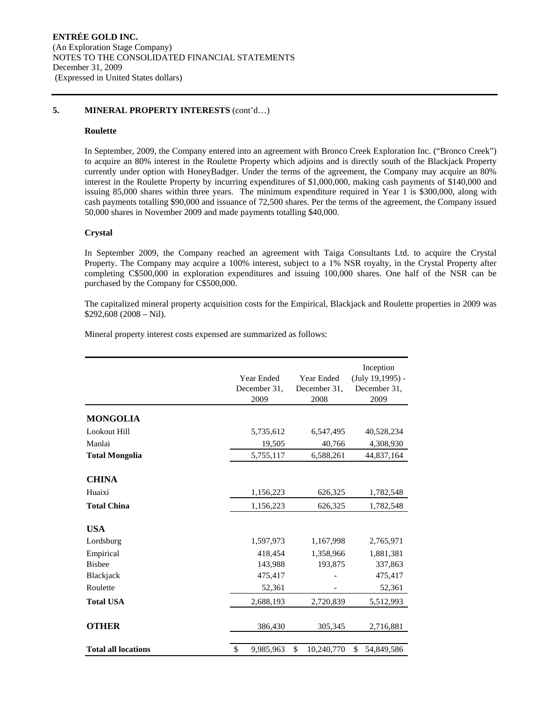#### **5. MINERAL PROPERTY INTERESTS** (cont'd…)

#### **Roulette**

In September, 2009, the Company entered into an agreement with Bronco Creek Exploration Inc. ("Bronco Creek") to acquire an 80% interest in the Roulette Property which adjoins and is directly south of the Blackjack Property currently under option with HoneyBadger. Under the terms of the agreement, the Company may acquire an 80% interest in the Roulette Property by incurring expenditures of \$1,000,000, making cash payments of \$140,000 and issuing 85,000 shares within three years. The minimum expenditure required in Year 1 is \$300,000, along with cash payments totalling \$90,000 and issuance of 72,500 shares. Per the terms of the agreement, the Company issued 50,000 shares in November 2009 and made payments totalling \$40,000.

#### **Crystal**

In September 2009, the Company reached an agreement with Taiga Consultants Ltd. to acquire the Crystal Property. The Company may acquire a 100% interest, subject to a 1% NSR royalty, in the Crystal Property after completing C\$500,000 in exploration expenditures and issuing 100,000 shares. One half of the NSR can be purchased by the Company for C\$500,000.

The capitalized mineral property acquisition costs for the Empirical, Blackjack and Roulette properties in 2009 was \$292,608 (2008 – Nil).

|  |  |  | Mineral property interest costs expensed are summarized as follows: |
|--|--|--|---------------------------------------------------------------------|
|--|--|--|---------------------------------------------------------------------|

|                            | <b>Year Ended</b><br>December 31,<br>2009 | <b>Year Ended</b><br>December 31,<br>2008 | Inception<br>(July 19,1995) -<br>December 31,<br>2009 |
|----------------------------|-------------------------------------------|-------------------------------------------|-------------------------------------------------------|
| <b>MONGOLIA</b>            |                                           |                                           |                                                       |
| Lookout Hill               | 5,735,612                                 | 6,547,495                                 | 40,528,234                                            |
| Manlai                     | 19,505                                    | 40,766                                    | 4,308,930                                             |
| <b>Total Mongolia</b>      | 5,755,117                                 | 6,588,261                                 | 44,837,164                                            |
| <b>CHINA</b>               |                                           |                                           |                                                       |
| Huaixi                     | 1,156,223                                 | 626,325                                   | 1,782,548                                             |
| <b>Total China</b>         | 1,156,223                                 | 626,325                                   | 1,782,548                                             |
| <b>USA</b>                 |                                           |                                           |                                                       |
| Lordsburg                  | 1,597,973                                 | 1,167,998                                 | 2,765,971                                             |
| Empirical                  | 418.454                                   | 1,358,966                                 | 1,881,381                                             |
| <b>Bisbee</b>              | 143,988                                   | 193,875                                   | 337,863                                               |
| Blackjack                  | 475,417                                   |                                           | 475,417                                               |
| Roulette                   | 52,361                                    |                                           | 52,361                                                |
| <b>Total USA</b>           | 2,688,193                                 | 2,720,839                                 | 5,512,993                                             |
| <b>OTHER</b>               | 386,430                                   | 305,345                                   | 2,716,881                                             |
| <b>Total all locations</b> | \$.<br>9,985,963                          | \$<br>10,240,770                          | \$<br>54,849,586                                      |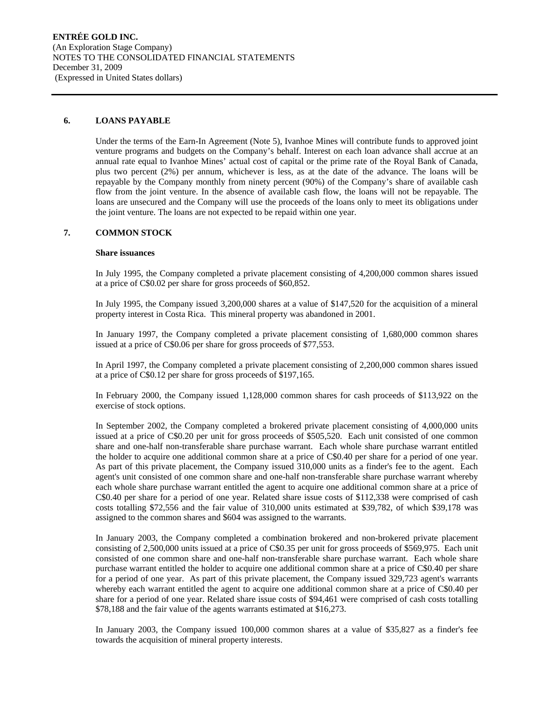#### **6. LOANS PAYABLE**

Under the terms of the Earn-In Agreement (Note 5), Ivanhoe Mines will contribute funds to approved joint venture programs and budgets on the Company's behalf. Interest on each loan advance shall accrue at an annual rate equal to Ivanhoe Mines' actual cost of capital or the prime rate of the Royal Bank of Canada, plus two percent (2%) per annum, whichever is less, as at the date of the advance. The loans will be repayable by the Company monthly from ninety percent (90%) of the Company's share of available cash flow from the joint venture. In the absence of available cash flow, the loans will not be repayable. The loans are unsecured and the Company will use the proceeds of the loans only to meet its obligations under the joint venture. The loans are not expected to be repaid within one year.

#### **7. COMMON STOCK**

#### **Share issuances**

In July 1995, the Company completed a private placement consisting of 4,200,000 common shares issued at a price of C\$0.02 per share for gross proceeds of \$60,852.

In July 1995, the Company issued 3,200,000 shares at a value of \$147,520 for the acquisition of a mineral property interest in Costa Rica. This mineral property was abandoned in 2001.

In January 1997, the Company completed a private placement consisting of 1,680,000 common shares issued at a price of C\$0.06 per share for gross proceeds of \$77,553.

In April 1997, the Company completed a private placement consisting of 2,200,000 common shares issued at a price of C\$0.12 per share for gross proceeds of \$197,165.

In February 2000, the Company issued 1,128,000 common shares for cash proceeds of \$113,922 on the exercise of stock options.

In September 2002, the Company completed a brokered private placement consisting of 4,000,000 units issued at a price of C\$0.20 per unit for gross proceeds of \$505,520. Each unit consisted of one common share and one-half non-transferable share purchase warrant. Each whole share purchase warrant entitled the holder to acquire one additional common share at a price of C\$0.40 per share for a period of one year. As part of this private placement, the Company issued 310,000 units as a finder's fee to the agent. Each agent's unit consisted of one common share and one-half non-transferable share purchase warrant whereby each whole share purchase warrant entitled the agent to acquire one additional common share at a price of C\$0.40 per share for a period of one year. Related share issue costs of \$112,338 were comprised of cash costs totalling \$72,556 and the fair value of 310,000 units estimated at \$39,782, of which \$39,178 was assigned to the common shares and \$604 was assigned to the warrants.

In January 2003, the Company completed a combination brokered and non-brokered private placement consisting of 2,500,000 units issued at a price of C\$0.35 per unit for gross proceeds of \$569,975. Each unit consisted of one common share and one-half non-transferable share purchase warrant. Each whole share purchase warrant entitled the holder to acquire one additional common share at a price of C\$0.40 per share for a period of one year. As part of this private placement, the Company issued 329,723 agent's warrants whereby each warrant entitled the agent to acquire one additional common share at a price of C\$0.40 per share for a period of one year. Related share issue costs of \$94,461 were comprised of cash costs totalling \$78,188 and the fair value of the agents warrants estimated at \$16,273.

In January 2003, the Company issued 100,000 common shares at a value of \$35,827 as a finder's fee towards the acquisition of mineral property interests.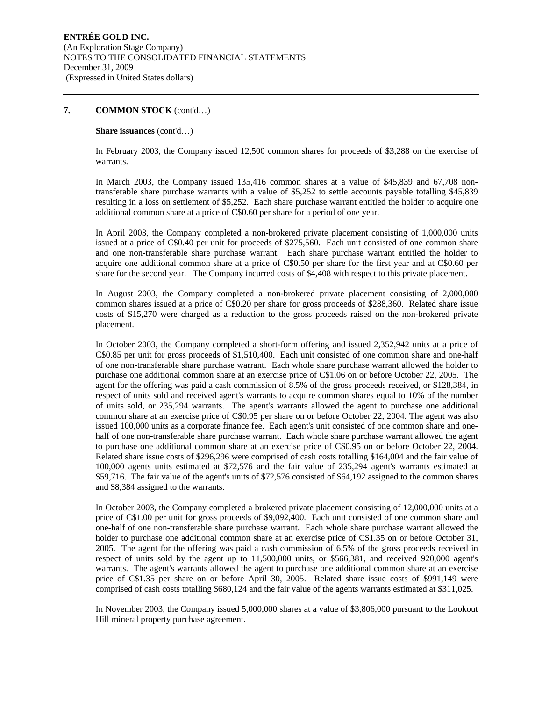#### **Share issuances** (cont'd…)

In February 2003, the Company issued 12,500 common shares for proceeds of \$3,288 on the exercise of warrants.

In March 2003, the Company issued 135,416 common shares at a value of \$45,839 and 67,708 nontransferable share purchase warrants with a value of \$5,252 to settle accounts payable totalling \$45,839 resulting in a loss on settlement of \$5,252. Each share purchase warrant entitled the holder to acquire one additional common share at a price of C\$0.60 per share for a period of one year.

In April 2003, the Company completed a non-brokered private placement consisting of 1,000,000 units issued at a price of C\$0.40 per unit for proceeds of \$275,560. Each unit consisted of one common share and one non-transferable share purchase warrant. Each share purchase warrant entitled the holder to acquire one additional common share at a price of C\$0.50 per share for the first year and at C\$0.60 per share for the second year. The Company incurred costs of \$4,408 with respect to this private placement.

In August 2003, the Company completed a non-brokered private placement consisting of 2,000,000 common shares issued at a price of C\$0.20 per share for gross proceeds of \$288,360. Related share issue costs of \$15,270 were charged as a reduction to the gross proceeds raised on the non-brokered private placement.

In October 2003, the Company completed a short-form offering and issued 2,352,942 units at a price of C\$0.85 per unit for gross proceeds of \$1,510,400. Each unit consisted of one common share and one-half of one non-transferable share purchase warrant. Each whole share purchase warrant allowed the holder to purchase one additional common share at an exercise price of C\$1.06 on or before October 22, 2005. The agent for the offering was paid a cash commission of 8.5% of the gross proceeds received, or \$128,384, in respect of units sold and received agent's warrants to acquire common shares equal to 10% of the number of units sold, or 235,294 warrants. The agent's warrants allowed the agent to purchase one additional common share at an exercise price of C\$0.95 per share on or before October 22, 2004. The agent was also issued 100,000 units as a corporate finance fee. Each agent's unit consisted of one common share and onehalf of one non-transferable share purchase warrant. Each whole share purchase warrant allowed the agent to purchase one additional common share at an exercise price of C\$0.95 on or before October 22, 2004. Related share issue costs of \$296,296 were comprised of cash costs totalling \$164,004 and the fair value of 100,000 agents units estimated at \$72,576 and the fair value of 235,294 agent's warrants estimated at \$59,716. The fair value of the agent's units of \$72,576 consisted of \$64,192 assigned to the common shares and \$8,384 assigned to the warrants.

In October 2003, the Company completed a brokered private placement consisting of 12,000,000 units at a price of C\$1.00 per unit for gross proceeds of \$9,092,400. Each unit consisted of one common share and one-half of one non-transferable share purchase warrant. Each whole share purchase warrant allowed the holder to purchase one additional common share at an exercise price of C\$1.35 on or before October 31, 2005. The agent for the offering was paid a cash commission of 6.5% of the gross proceeds received in respect of units sold by the agent up to 11,500,000 units, or \$566,381, and received 920,000 agent's warrants. The agent's warrants allowed the agent to purchase one additional common share at an exercise price of C\$1.35 per share on or before April 30, 2005. Related share issue costs of \$991,149 were comprised of cash costs totalling \$680,124 and the fair value of the agents warrants estimated at \$311,025.

In November 2003, the Company issued 5,000,000 shares at a value of \$3,806,000 pursuant to the Lookout Hill mineral property purchase agreement.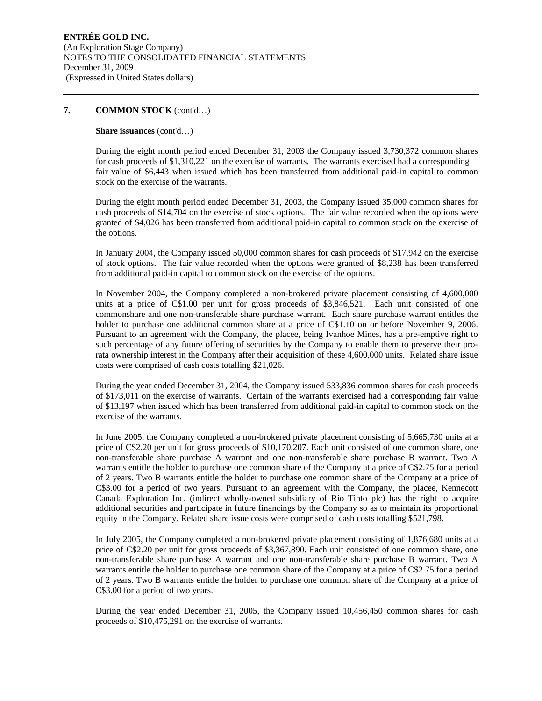#### **Share issuances** (cont'd…)

During the eight month period ended December 31, 2003 the Company issued 3,730,372 common shares for cash proceeds of \$1,310,221 on the exercise of warrants. The warrants exercised had a corresponding fair value of \$6,443 when issued which has been transferred from additional paid-in capital to common stock on the exercise of the warrants.

During the eight month period ended December 31, 2003, the Company issued 35,000 common shares for cash proceeds of \$14,704 on the exercise of stock options. The fair value recorded when the options were granted of \$4,026 has been transferred from additional paid-in capital to common stock on the exercise of the options.

In January 2004, the Company issued 50,000 common shares for cash proceeds of \$17,942 on the exercise of stock options. The fair value recorded when the options were granted of \$8,238 has been transferred from additional paid-in capital to common stock on the exercise of the options.

In November 2004, the Company completed a non-brokered private placement consisting of 4,600,000 units at a price of C\$1.00 per unit for gross proceeds of \$3,846,521. Each unit consisted of one commonshare and one non-transferable share purchase warrant. Each share purchase warrant entitles the holder to purchase one additional common share at a price of C\$1.10 on or before November 9, 2006. Pursuant to an agreement with the Company, the placee, being Ivanhoe Mines, has a pre-emptive right to such percentage of any future offering of securities by the Company to enable them to preserve their prorata ownership interest in the Company after their acquisition of these 4,600,000 units. Related share issue costs were comprised of cash costs totalling \$21,026.

During the year ended December 31, 2004, the Company issued 533,836 common shares for cash proceeds of \$173,011 on the exercise of warrants. Certain of the warrants exercised had a corresponding fair value of \$13,197 when issued which has been transferred from additional paid-in capital to common stock on the exercise of the warrants.

In June 2005, the Company completed a non-brokered private placement consisting of 5,665,730 units at a price of C\$2.20 per unit for gross proceeds of \$10,170,207. Each unit consisted of one common share, one non-transferable share purchase A warrant and one non-transferable share purchase B warrant. Two A warrants entitle the holder to purchase one common share of the Company at a price of C\$2.75 for a period of 2 years. Two B warrants entitle the holder to purchase one common share of the Company at a price of C\$3.00 for a period of two years. Pursuant to an agreement with the Company, the placee, Kennecott Canada Exploration Inc. (indirect wholly-owned subsidiary of Rio Tinto plc) has the right to acquire additional securities and participate in future financings by the Company so as to maintain its proportional equity in the Company. Related share issue costs were comprised of cash costs totalling \$521,798.

In July 2005, the Company completed a non-brokered private placement consisting of 1,876,680 units at a price of C\$2.20 per unit for gross proceeds of \$3,367,890. Each unit consisted of one common share, one non-transferable share purchase A warrant and one non-transferable share purchase B warrant. Two A warrants entitle the holder to purchase one common share of the Company at a price of C\$2.75 for a period of 2 years. Two B warrants entitle the holder to purchase one common share of the Company at a price of C\$3.00 for a period of two years.

During the year ended December 31, 2005, the Company issued 10,456,450 common shares for cash proceeds of \$10,475,291 on the exercise of warrants.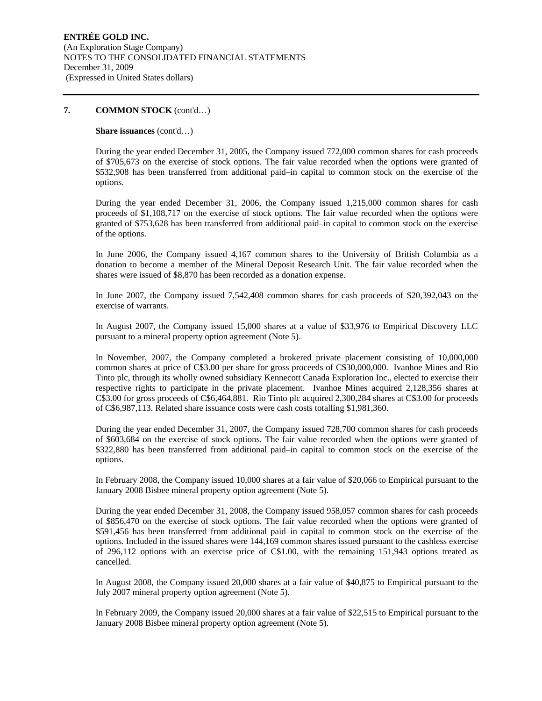#### **Share issuances** (cont'd…)

During the year ended December 31, 2005, the Company issued 772,000 common shares for cash proceeds of \$705,673 on the exercise of stock options. The fair value recorded when the options were granted of \$532,908 has been transferred from additional paid–in capital to common stock on the exercise of the options.

During the year ended December 31, 2006, the Company issued 1,215,000 common shares for cash proceeds of \$1,108,717 on the exercise of stock options. The fair value recorded when the options were granted of \$753,628 has been transferred from additional paid–in capital to common stock on the exercise of the options.

In June 2006, the Company issued 4,167 common shares to the University of British Columbia as a donation to become a member of the Mineral Deposit Research Unit. The fair value recorded when the shares were issued of \$8,870 has been recorded as a donation expense.

In June 2007, the Company issued 7,542,408 common shares for cash proceeds of \$20,392,043 on the exercise of warrants.

In August 2007, the Company issued 15,000 shares at a value of \$33,976 to Empirical Discovery LLC pursuant to a mineral property option agreement (Note 5).

In November, 2007, the Company completed a brokered private placement consisting of 10,000,000 common shares at price of C\$3.00 per share for gross proceeds of C\$30,000,000. Ivanhoe Mines and Rio Tinto plc, through its wholly owned subsidiary Kennecott Canada Exploration Inc., elected to exercise their respective rights to participate in the private placement. Ivanhoe Mines acquired 2,128,356 shares at C\$3.00 for gross proceeds of C\$6,464,881. Rio Tinto plc acquired 2,300,284 shares at C\$3.00 for proceeds of C\$6,987,113. Related share issuance costs were cash costs totalling \$1,981,360.

During the year ended December 31, 2007, the Company issued 728,700 common shares for cash proceeds of \$603,684 on the exercise of stock options. The fair value recorded when the options were granted of \$322,880 has been transferred from additional paid–in capital to common stock on the exercise of the options.

In February 2008, the Company issued 10,000 shares at a fair value of \$20,066 to Empirical pursuant to the January 2008 Bisbee mineral property option agreement (Note 5).

During the year ended December 31, 2008, the Company issued 958,057 common shares for cash proceeds of \$856,470 on the exercise of stock options. The fair value recorded when the options were granted of \$591,456 has been transferred from additional paid–in capital to common stock on the exercise of the options. Included in the issued shares were 144,169 common shares issued pursuant to the cashless exercise of 296,112 options with an exercise price of C\$1.00, with the remaining 151,943 options treated as cancelled.

In August 2008, the Company issued 20,000 shares at a fair value of \$40,875 to Empirical pursuant to the July 2007 mineral property option agreement (Note 5).

In February 2009, the Company issued 20,000 shares at a fair value of \$22,515 to Empirical pursuant to the January 2008 Bisbee mineral property option agreement (Note 5).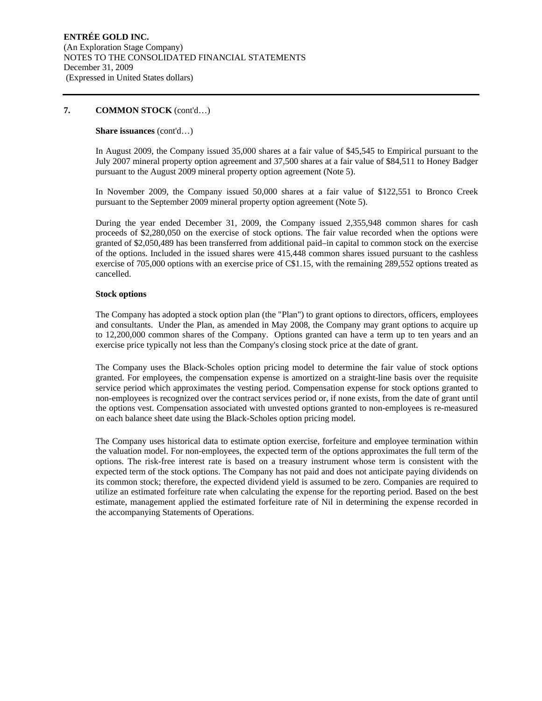#### **Share issuances** (cont'd…)

In August 2009, the Company issued 35,000 shares at a fair value of \$45,545 to Empirical pursuant to the July 2007 mineral property option agreement and 37,500 shares at a fair value of \$84,511 to Honey Badger pursuant to the August 2009 mineral property option agreement (Note 5).

In November 2009, the Company issued 50,000 shares at a fair value of \$122,551 to Bronco Creek pursuant to the September 2009 mineral property option agreement (Note 5).

During the year ended December 31, 2009, the Company issued 2,355,948 common shares for cash proceeds of \$2,280,050 on the exercise of stock options. The fair value recorded when the options were granted of \$2,050,489 has been transferred from additional paid–in capital to common stock on the exercise of the options. Included in the issued shares were 415,448 common shares issued pursuant to the cashless exercise of 705,000 options with an exercise price of C\$1.15, with the remaining 289,552 options treated as cancelled.

#### **Stock options**

The Company has adopted a stock option plan (the "Plan") to grant options to directors, officers, employees and consultants. Under the Plan, as amended in May 2008, the Company may grant options to acquire up to 12,200,000 common shares of the Company. Options granted can have a term up to ten years and an exercise price typically not less than the Company's closing stock price at the date of grant.

The Company uses the Black-Scholes option pricing model to determine the fair value of stock options granted. For employees, the compensation expense is amortized on a straight-line basis over the requisite service period which approximates the vesting period. Compensation expense for stock options granted to non-employees is recognized over the contract services period or, if none exists, from the date of grant until the options vest. Compensation associated with unvested options granted to non-employees is re-measured on each balance sheet date using the Black-Scholes option pricing model.

The Company uses historical data to estimate option exercise, forfeiture and employee termination within the valuation model. For non-employees, the expected term of the options approximates the full term of the options. The risk-free interest rate is based on a treasury instrument whose term is consistent with the expected term of the stock options. The Company has not paid and does not anticipate paying dividends on its common stock; therefore, the expected dividend yield is assumed to be zero. Companies are required to utilize an estimated forfeiture rate when calculating the expense for the reporting period. Based on the best estimate, management applied the estimated forfeiture rate of Nil in determining the expense recorded in the accompanying Statements of Operations.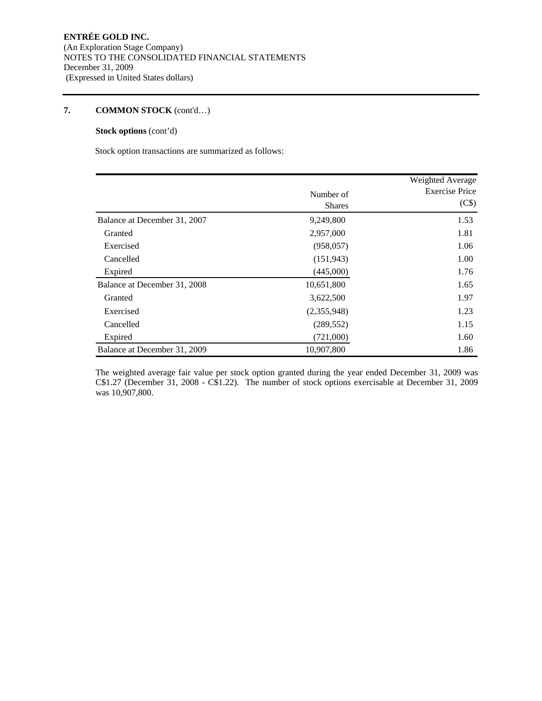#### **Stock options** (cont'd)

Stock option transactions are summarized as follows:

|                              |                            | Weighted Average               |
|------------------------------|----------------------------|--------------------------------|
|                              | Number of<br><b>Shares</b> | <b>Exercise Price</b><br>(C\$) |
| Balance at December 31, 2007 | 9,249,800                  | 1.53                           |
| Granted                      | 2,957,000                  | 1.81                           |
| Exercised                    | (958, 057)                 | 1.06                           |
| Cancelled                    | (151, 943)                 | 1.00                           |
| Expired                      | (445,000)                  | 1.76                           |
| Balance at December 31, 2008 | 10,651,800                 | 1.65                           |
| Granted                      | 3,622,500                  | 1.97                           |
| Exercised                    | (2,355,948)                | 1.23                           |
| Cancelled                    | (289, 552)                 | 1.15                           |
| Expired                      | (721,000)                  | 1.60                           |
| Balance at December 31, 2009 | 10,907,800                 | 1.86                           |

The weighted average fair value per stock option granted during the year ended December 31, 2009 was C\$1.27 (December 31, 2008 - C\$1.22). The number of stock options exercisable at December 31, 2009 was 10,907,800.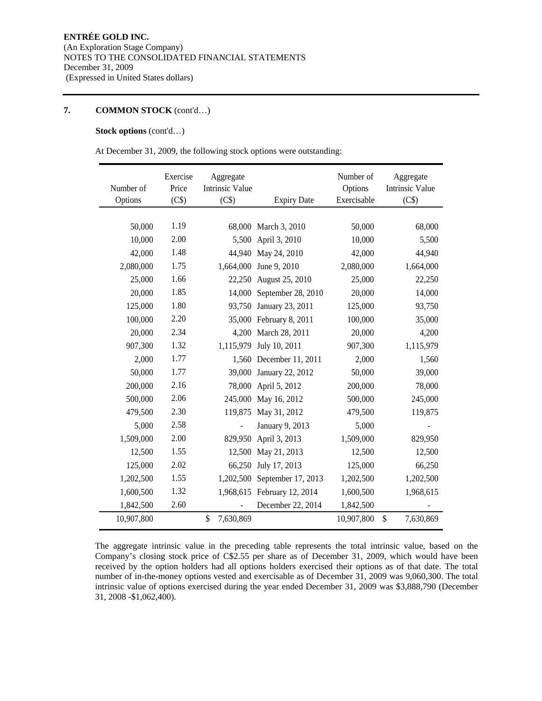#### **Stock options** (cont'd…)

At December 31, 2009, the following stock options were outstanding:

| Number of<br>Options | Exercise<br>Price<br>(C\$) | Aggregate<br>Intrinsic Value<br>(C\$) | <b>Expiry Date</b>          | Number of<br>Options<br>Exercisable | Aggregate<br>Intrinsic Value<br>(C\$) |
|----------------------|----------------------------|---------------------------------------|-----------------------------|-------------------------------------|---------------------------------------|
|                      |                            |                                       |                             |                                     |                                       |
| 50,000               | 1.19                       | 68,000                                | March 3, 2010               | 50,000                              | 68,000                                |
| 10,000               | 2.00                       | 5,500                                 | April 3, 2010               | 10,000                              | 5,500                                 |
| 42,000               | 1.48                       | 44,940                                | May 24, 2010                | 42,000                              | 44,940                                |
| 2,080,000            | 1.75                       | 1,664,000                             | June 9, 2010                | 2,080,000                           | 1,664,000                             |
| 25,000               | 1.66                       | 22,250                                | August 25, 2010             | 25,000                              | 22,250                                |
| 20,000               | 1.85                       | 14,000                                | September 28, 2010          | 20,000                              | 14,000                                |
| 125,000              | 1.80                       | 93,750                                | January 23, 2011            | 125,000                             | 93,750                                |
| 100,000              | 2.20                       |                                       | 35,000 February 8, 2011     | 100,000                             | 35,000                                |
| 20,000               | 2.34                       | 4.200                                 | March 28, 2011              | 20,000                              | 4,200                                 |
| 907,300              | 1.32                       | 1,115,979                             | July 10, 2011               | 907,300                             | 1,115,979                             |
| 2,000                | 1.77                       | 1,560                                 | December 11, 2011           | 2,000                               | 1,560                                 |
| 50,000               | 1.77                       | 39,000                                | January 22, 2012            | 50,000                              | 39,000                                |
| 200,000              | 2.16                       | 78,000                                | April 5, 2012               | 200,000                             | 78,000                                |
| 500,000              | 2.06                       | 245,000                               | May 16, 2012                | 500,000                             | 245,000                               |
| 479,500              | 2.30                       | 119,875                               | May 31, 2012                | 479,500                             | 119,875                               |
| 5,000                | 2.58                       |                                       | January 9, 2013             | 5,000                               |                                       |
| 1,509,000            | 2.00                       | 829,950                               | April 3, 2013               | 1,509,000                           | 829,950                               |
| 12,500               | 1.55                       | 12,500                                | May 21, 2013                | 12,500                              | 12,500                                |
| 125,000              | 2.02                       | 66,250                                | July 17, 2013               | 125,000                             | 66,250                                |
| 1,202,500            | 1.55                       | 1,202,500                             | September 17, 2013          | 1,202,500                           | 1,202,500                             |
| 1,600,500            | 1.32                       |                                       | 1,968,615 February 12, 2014 | 1,600,500                           | 1,968,615                             |
| 1,842,500            | 2.60                       |                                       | December 22, 2014           | 1,842,500                           |                                       |
| 10,907,800           |                            | \$<br>7,630,869                       |                             | 10,907,800                          | \$<br>7,630,869                       |

The aggregate intrinsic value in the preceding table represents the total intrinsic value, based on the Company's closing stock price of C\$2.55 per share as of December 31, 2009, which would have been received by the option holders had all options holders exercised their options as of that date. The total number of in-the-money options vested and exercisable as of December 31, 2009 was 9,060,300. The total intrinsic value of options exercised during the year ended December 31, 2009 was \$3,888,790 (December 31, 2008 -\$1,062,400).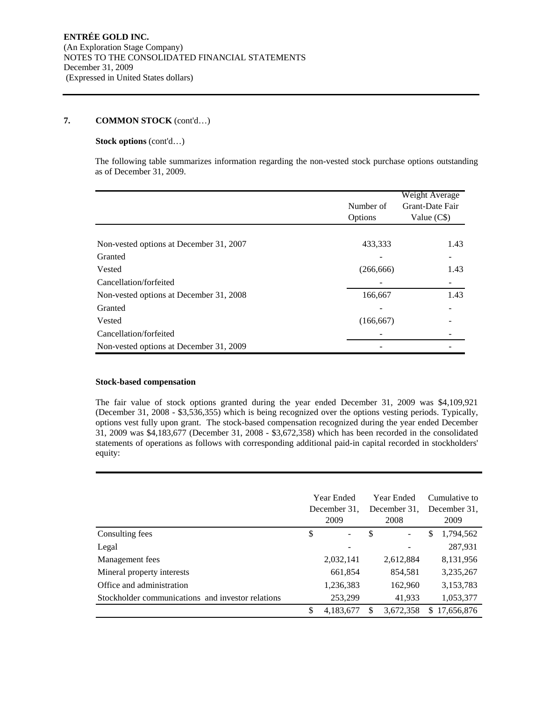#### **Stock options** (cont'd…)

The following table summarizes information regarding the non-vested stock purchase options outstanding as of December 31, 2009.

|                                         | Number of<br>Options | Weight Average<br>Grant-Date Fair<br>Value $(C\$ ) |
|-----------------------------------------|----------------------|----------------------------------------------------|
|                                         |                      |                                                    |
| Non-vested options at December 31, 2007 | 433,333              | 1.43                                               |
| Granted                                 |                      |                                                    |
| Vested                                  | (266, 666)           | 1.43                                               |
| Cancellation/forfeited                  |                      |                                                    |
| Non-vested options at December 31, 2008 | 166,667              | 1.43                                               |
| Granted                                 |                      |                                                    |
| Vested                                  | (166, 667)           |                                                    |
| Cancellation/forfeited                  |                      |                                                    |
| Non-vested options at December 31, 2009 |                      |                                                    |

#### **Stock-based compensation**

The fair value of stock options granted during the year ended December 31, 2009 was \$4,109,921 (December 31, 2008 - \$3,536,355) which is being recognized over the options vesting periods. Typically, options vest fully upon grant. The stock-based compensation recognized during the year ended December 31, 2009 was \$4,183,677 (December 31, 2008 - \$3,672,358) which has been recorded in the consolidated statements of operations as follows with corresponding additional paid-in capital recorded in stockholders' equity:

|                                                   | Year Ended<br>December 31.<br>2009 |    | Year Ended<br>December 31.<br>2008 |    | Cumulative to<br>December 31,<br>2009 |
|---------------------------------------------------|------------------------------------|----|------------------------------------|----|---------------------------------------|
| Consulting fees                                   | \$                                 | \$ | $\qquad \qquad \blacksquare$       | S  | 1,794,562                             |
| Legal                                             |                                    |    |                                    |    | 287,931                               |
| Management fees                                   | 2,032,141                          |    | 2,612,884                          |    | 8,131,956                             |
| Mineral property interests                        | 661,854                            |    | 854,581                            |    | 3,235,267                             |
| Office and administration                         | 1,236,383                          |    | 162,960                            |    | 3,153,783                             |
| Stockholder communications and investor relations | 253,299                            |    | 41,933                             |    | 1,053,377                             |
|                                                   | \$<br>4,183,677                    | S  | 3,672,358                          | S. | 17,656,876                            |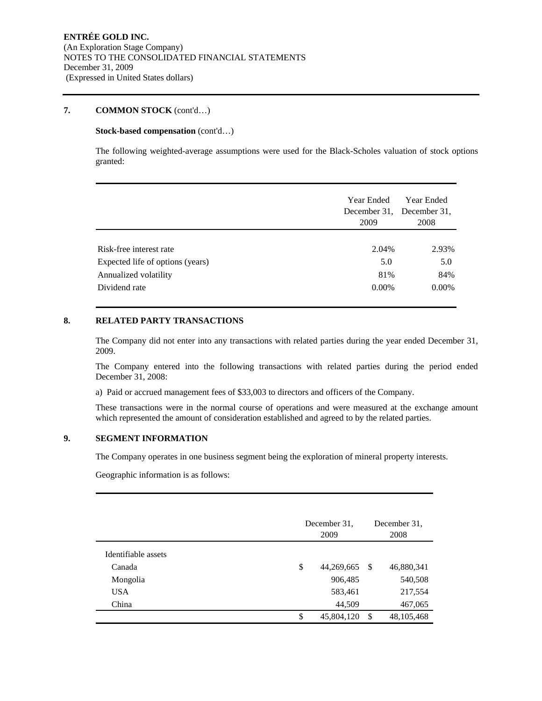#### **Stock-based compensation** (cont'd…)

The following weighted-average assumptions were used for the Black-Scholes valuation of stock options granted:

|                                  | <b>Year Ended</b><br>December 31,<br>2009 | Year Ended<br>December 31,<br>2008 |
|----------------------------------|-------------------------------------------|------------------------------------|
| Risk-free interest rate          | 2.04%                                     | 2.93%                              |
| Expected life of options (years) | 5.0                                       | 5.0                                |
| Annualized volatility            | 81%                                       | 84%                                |
| Dividend rate                    | $0.00\%$                                  | $0.00\%$                           |

#### **8. RELATED PARTY TRANSACTIONS**

The Company did not enter into any transactions with related parties during the year ended December 31, 2009.

The Company entered into the following transactions with related parties during the period ended December 31, 2008:

a) Paid or accrued management fees of \$33,003 to directors and officers of the Company.

These transactions were in the normal course of operations and were measured at the exchange amount which represented the amount of consideration established and agreed to by the related parties.

#### **9. SEGMENT INFORMATION**

The Company operates in one business segment being the exploration of mineral property interests.

Geographic information is as follows:

|                     | December 31,<br>2009 |      | December 31.<br>2008 |
|---------------------|----------------------|------|----------------------|
| Identifiable assets |                      |      |                      |
| Canada              | \$<br>44,269,665     | - \$ | 46,880,341           |
| Mongolia            | 906,485              |      | 540,508              |
| <b>USA</b>          | 583,461              |      | 217,554              |
| China               | 44,509               |      | 467,065              |
|                     | \$<br>45,804,120     | - \$ | 48, 105, 468         |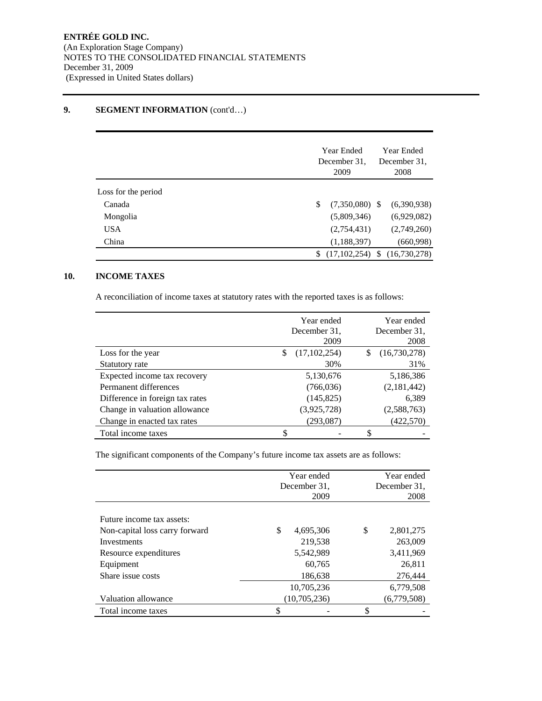#### **9. SEGMENT INFORMATION** (cont'd...)

|                     | Year Ended<br>Year Ended<br>December 31.<br>December 31.<br>2009<br>2008 |
|---------------------|--------------------------------------------------------------------------|
| Loss for the period |                                                                          |
| Canada              | $(7,350,080)$ \$<br>\$<br>(6,390,938)                                    |
| Mongolia            | (5,809,346)<br>(6,929,082)                                               |
| <b>USA</b>          | (2,754,431)<br>(2,749,260)                                               |
| China               | (1,188,397)<br>(660, 998)                                                |
|                     | (17, 102, 254)<br>(16,730,278)<br>\$<br>S                                |

#### **10. INCOME TAXES**

A reconciliation of income taxes at statutory rates with the reported taxes is as follows:

|                                 | Year ended<br>December 31.<br>2009 | Year ended<br>December 31.<br>2008 |
|---------------------------------|------------------------------------|------------------------------------|
| Loss for the year               | (17, 102, 254)<br>\$               | (16,730,278)<br>S                  |
| Statutory rate                  | 30%                                | 31%                                |
| Expected income tax recovery    | 5,130,676                          | 5,186,386                          |
| Permanent differences           | (766, 036)                         | (2,181,442)                        |
| Difference in foreign tax rates | (145, 825)                         | 6,389                              |
| Change in valuation allowance   | (3,925,728)                        | (2,588,763)                        |
| Change in enacted tax rates     | (293, 087)                         | (422,570)                          |
| Total income taxes              |                                    |                                    |

The significant components of the Company's future income tax assets are as follows:

|                                | Year ended<br>December 31. | 2009    | Year ended<br>December 31.<br>2008 |
|--------------------------------|----------------------------|---------|------------------------------------|
| Future income tax assets:      |                            |         |                                    |
| Non-capital loss carry forward | \$<br>4,695,306            | \$      | 2,801,275                          |
| Investments                    |                            | 219,538 | 263,009                            |
| Resource expenditures          | 5,542,989                  |         | 3,411,969                          |
| Equipment                      |                            | 60,765  | 26,811                             |
| Share issue costs              |                            | 186,638 | 276,444                            |
|                                | 10,705,236                 |         | 6,779,508                          |
| Valuation allowance            | (10,705,236)               |         | (6,779,508)                        |
| Total income taxes             |                            |         |                                    |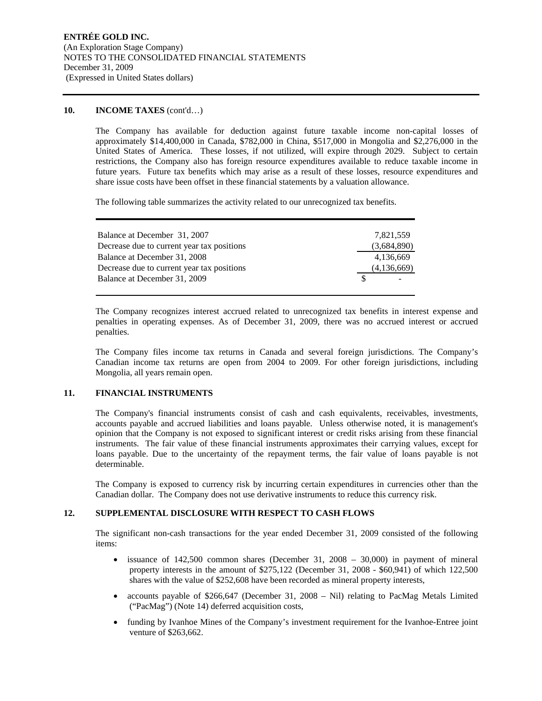#### **10. INCOME TAXES** (cont'd…)

The Company has available for deduction against future taxable income non-capital losses of approximately \$14,400,000 in Canada, \$782,000 in China, \$517,000 in Mongolia and \$2,276,000 in the United States of America. These losses, if not utilized, will expire through 2029. Subject to certain restrictions, the Company also has foreign resource expenditures available to reduce taxable income in future years. Future tax benefits which may arise as a result of these losses, resource expenditures and share issue costs have been offset in these financial statements by a valuation allowance.

The following table summarizes the activity related to our unrecognized tax benefits.

| Balance at December 31, 2007               | 7,821,559     |
|--------------------------------------------|---------------|
| Decrease due to current year tax positions | (3,684,890)   |
| Balance at December 31, 2008               | 4,136,669     |
| Decrease due to current year tax positions | (4, 136, 669) |
| Balance at December 31, 2009               |               |
|                                            |               |

The Company recognizes interest accrued related to unrecognized tax benefits in interest expense and penalties in operating expenses. As of December 31, 2009, there was no accrued interest or accrued penalties.

The Company files income tax returns in Canada and several foreign jurisdictions. The Company's Canadian income tax returns are open from 2004 to 2009. For other foreign jurisdictions, including Mongolia, all years remain open.

#### **11. FINANCIAL INSTRUMENTS**

The Company's financial instruments consist of cash and cash equivalents, receivables, investments, accounts payable and accrued liabilities and loans payable. Unless otherwise noted, it is management's opinion that the Company is not exposed to significant interest or credit risks arising from these financial instruments. The fair value of these financial instruments approximates their carrying values, except for loans payable. Due to the uncertainty of the repayment terms, the fair value of loans payable is not determinable.

The Company is exposed to currency risk by incurring certain expenditures in currencies other than the Canadian dollar. The Company does not use derivative instruments to reduce this currency risk.

#### **12. SUPPLEMENTAL DISCLOSURE WITH RESPECT TO CASH FLOWS**

The significant non-cash transactions for the year ended December 31, 2009 consisted of the following items:

- $\bullet$  issuance of 142,500 common shares (December 31, 2008 30,000) in payment of mineral property interests in the amount of \$275,122 (December 31, 2008 - \$60,941) of which 122,500 shares with the value of \$252,608 have been recorded as mineral property interests,
- accounts payable of \$266,647 (December 31, 2008 Nil) relating to PacMag Metals Limited ("PacMag") (Note 14) deferred acquisition costs,
- funding by Ivanhoe Mines of the Company's investment requirement for the Ivanhoe-Entree joint venture of \$263,662.